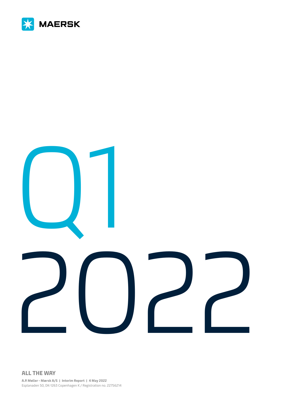

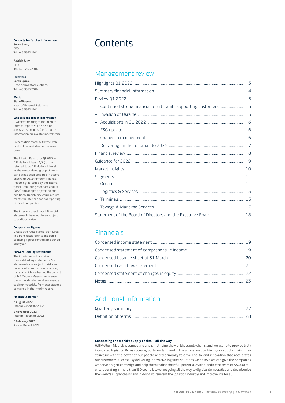## <span id="page-1-0"></span>**Contacts for further information**

**Søren Skou**, CEO Tel. +45 3363 1901

**Patrick Jany**, CFO Tel. +45 3363 3106

#### **Investors**

**Sarah Spray**, Head of Investor Relations Tel. +45 3363 3106

**Media**

**Signe Wagner**, Head of External Relations Tel. +45 3363 1901

# **Webcast and dial-in information**

A webcast relating to the Q1 2022 Interim Report will be held on 4 May 2022 at 11.00 (CET). Dial-in information on [investor.maersk.com](http://investor.maersk.com).

Presentation material for the webcast will be available on the same page.

The Interim Report for Q1 2022 of A.P. Møller - Mærsk A/S (further referred to as A.P. Moller - Maersk as the consolidated group of companies) has been prepared in accordance with IAS 34 'Interim Financial Reporting' as issued by the International Accounting Standards Board (IASB) and adopted by the EU and additional Danish disclosure requirements for interim financial reporting of listed companies.

The interim consolidated financial statements have not been subject to audit or review.

# **Comparative figures**

Unless otherwise stated, all figures in parentheses refer to the corresponding figures for the same period prior year.

## **Forward-looking statements**

The interim report contains forward-looking statements. Such statements are subject to risks and uncertainties as numerous factors, many of which are beyond the control of A.P. Moller - Maersk, may cause the actual development and results to differ materially from expectations contained in the interim report.

## **Financial calendar**

**3 August 2022** Interim Report Q2 2022 **2 November 2022** Interim Report Q3 2022 **8 February 2023** Annual Report 2022

# **Contents**

# [Management review](#page-2-0)

|                          | 3              |
|--------------------------|----------------|
|                          | $\overline{4}$ |
|                          | 5              |
|                          | 5              |
|                          | 5              |
| -                        | 6              |
| $\overline{\phantom{a}}$ | 6              |
| -                        | 6              |
| $-$ .                    | 7              |
|                          | 8              |
|                          | 9              |
|                          | 10             |
|                          | 11             |
|                          | 11             |
| $\overline{\phantom{0}}$ | 13             |
|                          | 15             |
| -                        | 17             |
|                          | 18             |

# [Financials](#page-18-0)

# [Additional information](#page-26-0)

#### **Connecting the world's supply chains – all the way**

A.P. Moller - Maersk is connecting and simplifying the world's supply chains, and we aspire to provide truly integrated logistics. Across oceans, ports, on land and in the air, we are combining our supply chain infrastructure with the power of our people and technology to drive end-to-end innovation that accelerates our customers' success. By delivering innovative logistics solutions we believe we can give the companies we serve a significant edge and help them realise their full potential. With a dedicated team of 95,000 talents, operating in more than 130 countries, we are going all the way to digitise, democratise and decarbonise the world's supply chains and in doing so reinvent the logistics industry and improve life for all.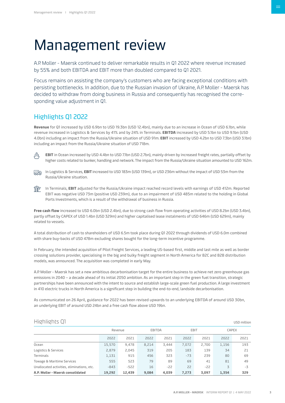# <span id="page-2-0"></span>Management review

A.P. Moller - Maersk continued to deliver remarkable results in Q1 2022 where revenue increased by 55% and both EBITDA and EBIT more than doubled compared to Q1 2021.

Focus remains on assisting the company's customers who are facing exceptional conditions with persisting bottlenecks. In addition, due to the Russian invasion of Ukraine, A.P. Moller - Maersk has decided to withdraw from doing business in Russia and consequently has recognised the corresponding value adjustment in Q1.

# Highlights Q1 2022

**Revenue** for Q1 increased by USD 6.9bn to USD 19.3bn (USD 12.4bn), mainly due to an increase in Ocean of USD 6.1bn, while revenue increased in Logistics & Services by 41% and by 24% in Terminals. **EBITDA** increased by USD 5.1bn to USD 9.1bn (USD 4.0bn) including an impact from the Russia/Ukraine situation of USD 91m. **EBIT** increased by USD 4.2bn to USD 7.3bn (USD 3.1bn) including an impact from the Russia/Ukraine situation of USD 718m.



 **EBIT** in Ocean increased by USD 4.4bn to USD 7.1bn (USD 2.7bn), mainly driven by increased freight rates, partially offset by higher costs related to bunker, handling and network. The impact from the Russia/Ukraine situation amounted to USD 162m.



**III**<sub>2</sub> In Logistics & Services, **EBIT** increased to USD 183m (USD 139m), or USD 236m without the impact of USD 53m from the Russia/Ukraine situation.

**THE** In Terminals, **EBIT** adjusted for the Russia/Ukraine impact reached record levels with earnings of USD 412m. Reported EBIT was negative USD 73m (positive USD 239m), due to an impairment of USD 485m related to the holding in Global Ports Investments, which is a result of the withdrawal of business in Russia.

**Free cash flow** increased to USD 6.0bn (USD 2.4bn), due to strong cash flow from operating activities of USD 8.2bn (USD 3.4bn), partly offset by CAPEX of USD 1.4bn (USD 329m) and higher capitalised lease instalments of USD 646m (USD 629m), mainly related to vessels.

A total distribution of cash to shareholders of USD 6.5m took place during Q1 2022 through dividends of USD 6.0m combined with share buy-backs of USD 478m excluding shares bought for the long-term incentive programme.

In February, the intended acquisition of Pilot Freight Services, a leading US-based first, middle and last mile as well as border crossing solutions provider, specialising in the big and bulky freight segment in North America for B2C and B2B distribution models, was announced. The acquisition was completed in early May.

A.P. Moller - Maersk has set a new ambitious decarbonisation target for the entire business to achieve net zero greenhouse gas emissions in 2040 – a decade ahead of its initial 2050 ambition. As an important step in the green fuel transition, strategic partnerships have been announced with the intent to source and establish large-scale green fuel production. A large investment in 410 electric trucks in North America is a significant step in building the end-to-end, landside decarbonisation.

As communicated on 26 April, guidance for 2022 has been revised upwards to an underlying EBITDA of around USD 30bn, an underlying EBIT of around USD 24bn and a free cash flow above USD 19bn.

# Highlights Q1 USD million

|                                            |         |        |               |       |       |       |       | ---          |
|--------------------------------------------|---------|--------|---------------|-------|-------|-------|-------|--------------|
|                                            | Revenue |        | <b>EBITDA</b> |       |       | EBIT  |       | <b>CAPEX</b> |
|                                            | 2022    | 2021   | 2022          | 2021  | 2022  | 2021  | 2022  | 2021         |
| Ocean                                      | 15,570  | 9,478  | 8,214         | 3,444 | 7,072 | 2,700 | 1,156 | 193          |
| Logistics & Services                       | 2,879   | 2,045  | 319           | 205   | 183   | 139   | 34    | 21           |
| Terminals                                  | 1,131   | 915    | 456           | 323   | $-73$ | 239   | 80    | 69           |
| Towage & Maritime Services                 | 555     | 523    | 79            | 89    | 69    | 41    | 81    | 49           |
| Unallocated activities, eliminations, etc. | $-843$  | $-522$ | 16            | $-22$ | 22    | $-22$ | 3     | $-3$         |
| A.P. Moller - Maersk consolidated          | 19,292  | 12,439 | 9,084         | 4,039 | 7,273 | 3,097 | 1,354 | 329          |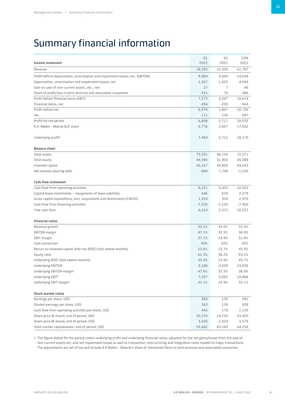# <span id="page-3-0"></span>Summary financial information

| Income statement                                                              | Q1<br>2022  | Q1<br>2021 | 12M<br>2021 |
|-------------------------------------------------------------------------------|-------------|------------|-------------|
| Revenue                                                                       | 19,292      | 12,439     | 61,787      |
| Profit before depreciation, amortisation and impairment losses, etc. (EBITDA) | 9,084       | 4,039      | 24,036      |
|                                                                               |             | 1,025      | 4,944       |
| Depreciation, amortisation and impairment losses, net                         | 1,507<br>27 | 7          | 96          |
| Gain on sale of non-current assets, etc., net                                 | $-331$      |            | 486         |
| Share of profit/loss in joint ventures and associated companies               |             | 76         |             |
| Profit before financial items (EBIT)                                          | 7,273       | 3,097      | 19,674      |
| Financial items, net<br>Profit before tax                                     | $-294$      | $-230$     | $-944$      |
|                                                                               | 6,979       | 2,867      | 18,730      |
| Tax                                                                           | 171         | 150        | 697         |
| Profit for the period                                                         | 6,808       | 2,717      | 18,033      |
| A.P. Møller - Mærsk A/S' share                                                | 6,776       | 2,697      | 17,942      |
| Underlying profit <sup>1</sup>                                                | 7,469       | 2,712      | 18,170      |
| <b>Balance sheet</b>                                                          |             |            |             |
| Total assets                                                                  | 73,031      | 56,734     | 72,271      |
| Total equity                                                                  | 44,940      | 31,905     | 45,588      |
| Invested capital                                                              | 45,167      | 39,829     | 44,043      |
| Net interest-bearing debt                                                     | $-689$      | 7,746      | $-1,530$    |
| <b>Cash flow statement</b>                                                    |             |            |             |
| Cash flow from operating activities                                           | 8,221       | 3,433      | 22,022      |
| Capital lease instalments - repayments of lease liabilities                   | 646         | 629        | 2,279       |
| Gross capital expenditure, excl. acquisitions and divestments (CAPEX)         | 1,354       | 329        | 2,976       |
| Cash flow from financing activities                                           | $-7,520$    | $-2,534$   | $-7,900$    |
| Free cash flow                                                                | 6,014       | 2,372      | 16,537      |
|                                                                               |             |            |             |
| <b>Financial ratios</b>                                                       |             |            |             |
| Revenue growth                                                                | 55.1%       | 30.0%      | 55.5%       |
| EBITDA margin                                                                 | 47.1%       | 32.5%      | 38.9%       |
| EBIT margin                                                                   | 37.7%       | 24.9%      | 31.8%       |
| Cash conversion                                                               | 90%         | 85%        | 92%         |
| Return on invested capital after tax (ROIC) (last twelve months)              | 53.6%       | 15.7%      | 45.3%       |
| Equity ratio                                                                  | 61.5%       | 56.2%      | 63.1%       |
| Underlying ROIC <sup>1</sup> (last twelve months)                             | 55.4%       | 15.9%      | 45.7%       |
| Underlying EBITDA <sup>1</sup>                                                | 9,186       | 4,039      | 24,036      |
| Underlying EBITDA margin <sup>1</sup>                                         | 47.6%       | 32.5%      | 38.9%       |
| Underlying EBIT <sup>1</sup>                                                  | 7,937       | 3,092      | 19,808      |
| Underlying EBIT margin <sup>1</sup>                                           | 41.1%       | 24.9%      | 32.1%       |
| <b>Stock market ratios</b>                                                    |             |            |             |
| Earnings per share, USD                                                       | 364         | 139        | 941         |
| Diluted earnings per share, USD                                               | 363         | 139        | 938         |
| Cash flow from operating activities per share, USD                            | 442         | 178        | 1,155       |
| Share price (B share), end of period, DKK                                     | 20,370      | 14,735     | 23,450      |
| Share price (B share), end of period, USD                                     | 3,040       | 2,324      | 3,576       |
| Total market capitalisation, end of period, USD                               | 55,662      | 43,243     | 64,259      |

1 The figure stated for the period covers underlying profit and underlying financial ratios, adjusted for the net gains/losses from the sale of non-current assets etc. and net impairment losses as well as transaction, restructuring and integration costs related to major transactions. The adjustments are net of tax and include A.P. Moller - Maersk's share of mentioned items in joint ventures and associated companies.

 $\equiv$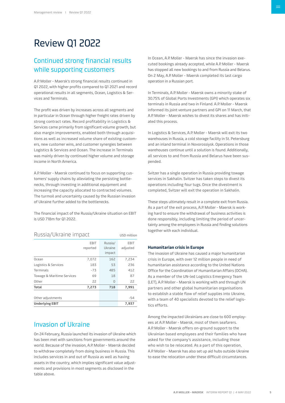# <span id="page-4-0"></span>Review Q1 2022

# Continued strong financial results while supporting customers

A.P. Moller - Maersk's strong financial results continued in Q1 2022, with higher profits compared to Q1 2021 and record operational results in all segments, Ocean, Logistics & Services and Terminals.

The profit was driven by increases across all segments and in particular in Ocean through higher freight rates driven by strong contract rates. Record profitability in Logistics & Services came primarily from significant volume growth, but also margin improvements, enabled both through acquisitions as well as increased volume share of existing customers, new customer wins, and customer synergies between Logistics & Services and Ocean. The increase in Terminals was mainly driven by continued higher volume and storage income in North America.

A.P. Moller - Maersk continued to focus on supporting customers' supply chains by alleviating the persisting bottlenecks, through investing in additional equipment and increasing the capacity allocated to contracted volumes. The turmoil and uncertainty caused by the Russian invasion of Ukraine further added to the bottlenecks.

The financial impact of the Russia/Ukraine situation on EBIT is USD 718m for Q1 2022.

# Russia/Ukraine impact vsp million

| <b>Underlying EBIT</b>     |                         |                              | 7,937            |
|----------------------------|-------------------------|------------------------------|------------------|
| Other adjustments          |                         |                              | -54              |
| Total                      | 7,273                   | 718                          | 7,991            |
| Other                      | 22                      | $\Omega$                     | 22               |
| Towage & Maritime Services | 69                      | 18                           | 87               |
| Terminals                  | $-73$                   | 485                          | 412              |
| Logistics & Services       | 183                     | 53                           | 236              |
| Ocean                      | 7,072                   | 162                          | 7,234            |
|                            | <b>EBIT</b><br>reported | Russia/<br>Ukraine<br>impact | EBIT<br>adjusted |

# Invasion of Ukraine

On 24 February, Russia launched its invasion of Ukraine which has been met with sanctions from governments around the world. Because of the invasion, A.P. Moller - Maersk decided to withdraw completely from doing business in Russia. This includes services in and out of Russia as well as having assets in the country, which implies significant value adjustments and provisions in most segments as disclosed in the table above.

In Ocean, A.P. Moller - Maersk has since the invasion executed bookings already accepted, while A.P. Moller - Maersk has stopped all new bookings to and from Russia and Belarus. On 2 May, A.P. Moller - Maersk completed its last cargo operation in a Russian port.

In Terminals, A.P. Moller - Maersk owns a minority stake of 30.75% of Global Ports Investments (GPI) which operates six terminals in Russia and two in Finland. A.P. Moller - Maersk informed its joint venture partners and GPI on 11 March, that A.P. Moller - Maersk wishes to divest its shares and has initiated this process.

In Logistics & Services, A.P. Moller - Maersk will exit its two warehouses in Russia, a cold storage facility in St. Petersburg and an inland terminal in Novorossiysk. Operations in those warehouses continue until a solution is found. Additionally, all services to and from Russia and Belarus have been suspended.

Svitzer has a single operation in Russia providing towage services in Sakhalin. Svitzer has taken steps to divest its operations including four tugs. Once the divestment is completed, Svitzer will exit the operation in Sakhalin.

These steps ultimately result in a complete exit from Russia. As a part of the exit process, A.P. Moller - Maersk is working hard to ensure the withdrawal of business activities is done responsibly, including limiting the period of uncertainty among the employees in Russia and finding solutions together with each individual.

# **Humanitarian crisis in Europe**

The invasion of Ukraine has caused a major humanitarian crisis in Europe, with over 12 million people in need of humanitarian assistance according to the United Nations Office for the Coordination of Humanitarian Affairs (OCHA). As a member of the UN-led Logistics Emergency Team (LET), A.P. Moller - Maersk is working with and through UN partners and other global humanitarian organisations to establish a stable flow of relief supplies into Ukraine, with a team of 40 specialists devoted to the relief logistics efforts.

Among the impacted Ukrainians are close to 600 employees at A.P. Moller - Maersk, most of them seafarers. A.P. Moller - Maersk offers on-ground support to the Ukrainian based employees and their families who have asked for the company's assistance, including those who wish to be relocated. As a part of this operation, A.P. Moller - Maersk has also set up aid hubs outside Ukraine to ease the relocation under these difficult circumstances.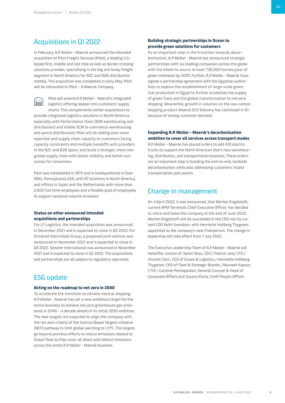# <span id="page-5-0"></span>Acquisitions in Q1 2022

In February, A.P. Moller - Maersk announced the intended acquisition of Pilot Freight Services (Pilot), a leading U.S. based first, middle and last mile as well as border crossing solutions provider, specialising in the big and bulky freight segment in North America for B2C and B2B distribution models. The acquisition was completed in early May. Pilot will be rebranded to Pilot – A Maersk Company.

Pilot will extend A.P. Moller - Maersk's integrated e logistics offering deeper into customers' supply chains. This complements earlier acquisitions to provide integrated logistics solutions in North America, especially with Performance Team (B2B warehousing and distribution) and Visible SCM (e-commerce warehousing and parcel distribution). Pilot will be adding even more expertise and supply chain capacity to customers facing capacity constraints and multiple handoffs with providers in the B2C and B2B space, and build a stronger, more integrated supply chain with better visibility and better outcomes for consumers.

Pilot was established in 1970 and is headquartered in Glen Mills, Pennsylvania USA, with 87 locations in North America, and offices in Spain and the Netherlands with more than 2,600 full-time employees and a flexible pool of employees to support seasonal volume increases.

# **Status on other announced intended acquisitions and partnerships**

For LF Logistics, the intended acquisition was announced in December 2021 and is expected to close in Q3 2022. For Grindrod Intermodal Group, a proposed joint venture was announced in November 2021 and is expected to close in Q3 2022. Senator International was announced in November 2021 and is expected to close in Q2 2022. The acquisitions and partnerships are all subject to regulatory approvals.

# ESG update

# **Acting on the roadmap to net zero in 2040**

To accelerate the transition to climate-neutral shipping, A.P. Moller - Maersk has set a new ambitious target for the entire business to achieve net zero greenhouse gas emissions in 2040 – a decade ahead of its initial 2050 ambition. The new targets are expected to align the company with the net zero criteria of the Science Based Targets initiative (SBTi) pathway to limit global warming to 1.5°C. The targets go beyond previous efforts to reduce emissions related to Ocean fleet as they cover all direct and indirect emissions across the entire A.P. Moller - Maersk business.

# **Building strategic partnerships in Ocean to provide green solutions for customers**

As an important step in the transition towards decarbonisation, A.P. Moller - Maersk has announced strategic partnerships with six leading companies across the globe with the intent to source at least 730,000 tonnes/year of green methanol by 2025. Further, A.P. Moller - Maersk have signed a partnership agreement with the Egyptian authorities to explore the establishment of large-scale green fuel production in Egypt to further accelerate the supply of green fuels and the global transformation to net-zero shipping. Meanwhile, growth in volumes on the low-carbon shipping product Maersk ECO Delivery has continued in Q1 because of strong customer demand.

# **Expanding A.P. Moller - Maersk's decarbonisation ambition to cover all services across transport modes**

A.P. Moller - Maersk has placed orders to add 410 electric trucks to support the North American short-haul warehousing, distribution, and transportation business. These orders are an important step in building the end-to-end, landside decarbonisation while also addressing customers' inland transportation pain points.

# Change in management

On 4 April 2022, it was announced, that Morten Engelstoft, current APM Terminals Chief Executive Officer, has decided to retire and leave the company at the end of June 2022. Morten Engelstoft will be succeeded in the CEO role by current COO Keith Svendsen, with Henriette Hallberg Thygesen appointed as the company's new Chairperson. The change in leadership will take effect from 1 July 2022.

The Executive Leadership Team of A.P. Moller - Maersk will hereafter consist of: Søren Skou, CEO / Patrick Jany, CFO / Vincent Clerc, CEO of Ocean & Logistics / Henriette Hallberg Thygesen, CEO of Fleet & Strategic Brands / Navneet Kapoor, CTIO / Caroline Pontoppidan, General Counsel & Head of Corporate Affairs and Susana Elvira, Chief People Officer.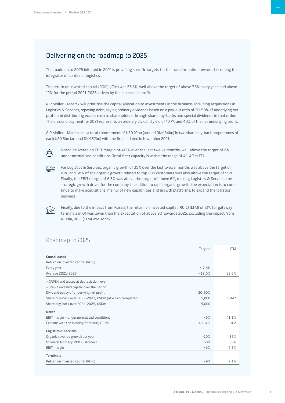# <span id="page-6-0"></span>Delivering on the roadmap to 2025

The roadmap to 2025 initiated in 2021 is providing specific targets for the transformation towards becoming the integrator of container logistics.

The return on invested capital (ROIC) (LTM) was 53.6%, well above the target of above 7.5% every year, and above 12% for the period 2021-2025, driven by the increase in profit.

A.P. Moller - Maersk will prioritise the capital allocation to investments in the business, including acquisitions in Logistics & Services, repaying debt, paying ordinary dividends based on a pay-out ratio of 30-50% of underlying net profit and distributing excess cash to shareholders through share buy-backs and special dividends in that order. The dividend payment for 2021 represents an ordinary dividend yield of 10.7% and 40% of the net underlying profit.

A.P. Moller - Maersk has a total commitment of USD 10bn (around DKK 64bn) in two share buy-back programmes of each USD 5bn (around DKK 32bn) with the first initiated in November 2021.



Ocean delivered an EBIT margin of 41.1% over the last twelve months, well above the target of 6% under normalised conditions. Total fleet capacity is within the range of 4.1-4.3m TEU.



क्रि

For Logistics & Services, organic growth of 35% over the last twelve months was above the target of 10%, and 58% of the organic growth related to top 200 customers was also above the target of 50%. Finally, the EBIT margin of 6.3% was above the target of above 6%, making Logistics & Services the strategic growth driver for the company. In addition to rapid organic growth, the expectation is to continue to make acquisitions, mainly of new capabilities and growth platforms, to expand the logistics business.

Finally, due to the impact from Russia, the return on invested capital (ROIC) (LTM) of 7.1% for gateway terminals in Q1 was lower than the expectation of above 9% towards 2025. Excluding the impact from Russia, ROIC (LTM) was 12.5%.

# Roadmap to 2025

| Targets                                                           | <b>LTM</b> |
|-------------------------------------------------------------------|------------|
| Consolidated                                                      |            |
| Return on invested capital (ROIC):                                |            |
| > 7.5%<br>Every year                                              |            |
| Average 2021-2025<br>>12.0%                                       | 53.6%      |
| - CAPEX and leases at depreciation level                          |            |
| - Stable invested capital over the period                         |            |
| Dividend policy of underlying net profit<br>30-50%                |            |
| Share buy-back over 2022-2023, USDm (of which completed)<br>5,000 | 1,047      |
| Share buy-back over 2024-2025, USDm<br>5,000                      |            |
| Ocean                                                             |            |
| >6%<br>EBIT margin - under normalised conditions                  | 41.1%      |
| Execute with the existing fleet size, TEUm<br>$4.1 - 4.3$         | 4.2        |
| <b>Logistics &amp; Services</b>                                   |            |
| Organic revenue growth per year<br>>10%                           | 35%        |
| Of which from top 200 customers<br>50%                            | 58%        |
| $>6\%$<br>EBIT margin                                             | 6.3%       |
| <b>Terminals</b>                                                  |            |
| Return on invested capital (ROIC)<br>> 9%                         | 7.1%       |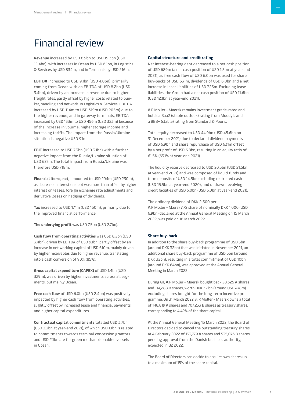# <span id="page-7-0"></span>Financial review

**Revenue** increased by USD 6.9bn to USD 19.3bn (USD 12.4bn), with increases in Ocean by USD 6.1bn, in Logistics & Services by USD 834m, and in Terminals by USD 216m.

**EBITDA** increased to USD 9.1bn (USD 4.0bn), primarily coming from Ocean with an EBITDA of USD 8.2bn (USD 3.4bn), driven by an increase in revenue due to higher freight rates, partly offset by higher costs related to bunker, handling and network. In Logistics & Services, EBITDA increased by USD 114m to USD 319m (USD 205m) due to the higher revenue, and in gateway terminals, EBITDA increased by USD 133m to USD 456m (USD 323m) because of the increase in volume, higher storage income and increasing tariffs. The impact from the Russia/Ukraine situation is negative USD 91m.

**EBIT** increased to USD 7.3bn (USD 3.1bn) with a further negative impact from the Russia/Ukraine situation of USD 627m. The total impact from Russia/Ukraine was therefore USD 718m.

**Financial items, net,** amounted to USD 294m (USD 230m), as decreased interest on debt was more than offset by higher interest on leases, foreign exchange rate adjustments and derivative losses on hedging of dividends.

**Tax** increased to USD 171m (USD 150m), primarily due to the improved financial performance.

**The underlying profit** was USD 7.5bn (USD 2.7bn).

**Cash flow from operating activities** was USD 8.2bn (USD 3.4bn), driven by EBITDA of USD 9.1bn, partly offset by an increase in net working capital of USD 610m, mainly driven by higher receivables due to higher revenue, translating into a cash conversion of 90% (85%).

**Gross capital expenditure (CAPEX)** of USD 1.4bn (USD 329m), was driven by higher investments across all segments, but mainly Ocean.

**Free cash flow** of USD 6.0bn (USD 2.4bn) was positively impacted by higher cash flow from operating activities, slightly offset by increased lease and financial payments, and higher capital expenditures.

**Contractual capital commitments** totalled USD 3.7bn (USD 3.3bn at year-end 2021), of which USD 1.1bn is related to commitments towards terminal concession grantors and USD 2.1bn are for green methanol-enabled vessels in Ocean.

# **Capital structure and credit rating**

Net interest-bearing debt decreased to a net cash position of USD 689m (a net cash position of USD 1.5bn at year-end 2021), as free cash flow of USD 6.0bn was used for share buy-backs of USD 631m, dividends of USD 6.0bn and a net increase in lease liabilities of USD 325m. Excluding lease liabilities, the Group had a net cash position of USD 11.6bn (USD 12.1bn at year-end 2021).

A.P. Moller - Maersk remains investment grade-rated and holds a Baa2 (stable outlook) rating from Moody's and a BBB+ (stable) rating from Standard & Poor's.

Total equity decreased to USD 44.9bn (USD 45.6bn on 31 December 2021) due to declared dividend payments of USD 6.9bn and share repurchase of USD 631m offset by a net profit of USD 6.8bn, resulting in an equity ratio of 61.5% (63.1% at year-end 2021).

The liquidity reserve decreased to USD 20.5bn (USD 21.5bn at year-end 2021) and was composed of liquid funds and term deposits of USD 14.5bn excluding restricted cash (USD 15.5bn at year-end 2020), and undrawn revolving credit facilities of USD 6.0bn (USD 6.0bn at year-end 2021).

The ordinary dividend of DKK 2,500 per A.P. Møller - Mærsk A/S share of nominally DKK 1,000 (USD 6.9bn) declared at the Annual General Meeting on 15 March 2022, was paid on 18 March 2022.

## **Share buy-back**

In addition to the share buy-back programme of USD 5bn (around DKK 32bn) that was initiated in November 2021, an additional share buy-back programme of USD 5bn (around DKK 32bn), resulting in a total commitment of USD 10bn (around DKK 64bn), was approved at the Annual General Meeting in March 2022.

During Q1, A.P. Moller - Maersk bought back 28,325 A shares and 114,288 B shares, worth DKK 3.2bn (around USD 478m) excluding shares bought for the long-term incentive programme. On 31 March 2022, A.P. Moller - Maersk owns a total of 148,819 A shares and 707,233 B shares as treasury shares, corresponding to 4.42% of the share capital.

At the Annual General Meeting 15 March 2022, the Board of Directors decided to cancel the outstanding treasury shares at 4 February 2022 of 133,779 A shares and 535,076 B shares, pending approval from the Danish business authority, expected in Q2 2022.

The Board of Directors can decide to acquire own shares up to a maximum of 15% of the share capital.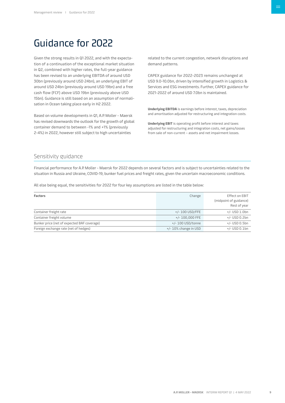# <span id="page-8-0"></span>Guidance for 2022

Given the strong results in Q1 2022, and with the expectation of a continuation of the exceptional market situation in Q2, combined with higher rates, the full-year guidance has been revised to an underlying EBITDA of around USD 30bn (previously around USD 24bn), an underlying EBIT of around USD 24bn (previously around USD 19bn) and a free cash flow (FCF) above USD 19bn (previously above USD 15bn). Guidance is still based on an assumption of normalisation in Ocean taking place early in H2 2022.

Based on volume developments in Q1, A.P. Moller - Maersk has revised downwards the outlook for the growth of global container demand to between -1% and +1% (previously 2-4%) in 2022, however still subject to high uncertainties

related to the current congestion, network disruptions and demand patterns.

CAPEX guidance for 2022-2023 remains unchanged at USD 9.0-10.0bn, driven by intensified growth in Logistics & Services and ESG investments. Further, CAPEX guidance for 2021-2022 of around USD 7.0bn is maintained.

**Underlying EBITDA** is earnings before interest, taxes, depreciation and amortisation adjusted for restructuring and integration costs.

**Underlying EBIT** is operating profit before interest and taxes adjusted for restructuring and integration costs, net gains/losses from sale of non-current – assets and net impairment losses.

# Sensitivity guidance

Financial performance for A.P. Moller - Maersk for 2022 depends on several factors and is subject to uncertainties related to the situation in Russia and Ukraine, COVID-19, bunker fuel prices and freight rates, given the uncertain macroeconomic conditions.

All else being equal, the sensitivities for 2022 for four key assumptions are listed in the table below:

| <b>Factors</b>                              | Change                   | Effect on EBIT<br>(midpoint of guidance)<br>Rest of year |
|---------------------------------------------|--------------------------|----------------------------------------------------------|
| Container freight rate                      | +/- 100 USD/FFE          | +/- USD 1.0bn                                            |
| Container freight volume                    | $+/- 100.000$ FFE        | +/- USD 0.2bn                                            |
| Bunker price (net of expected BAF coverage) | +/- 100 USD/tonne        | $+/-$ USD 0.5bn                                          |
| Foreign exchange rate (net of hedges)       | $+/- 10\%$ change in USD | $+/-$ USD 0.1bn                                          |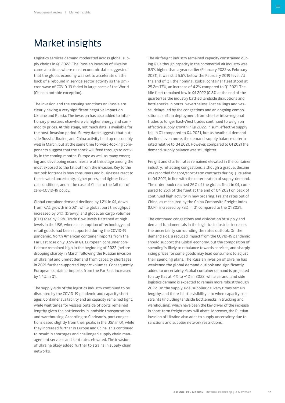# <span id="page-9-0"></span>Market insights

Logistics services demand moderated across global supply chains in Q1 2022. The Russian invasion of Ukraine came at a time, where most economic data suggested that the global economy was set to accelerate on the back of a rebound in service sector activity as the Omicron wave of COVID-19 faded in large parts of the World (China a notable exception).

The invasion and the ensuing sanctions on Russia are clearly having a very significant negative impact on Ukraine and Russia. The invasion has also added to inflationary pressures elsewhere via higher energy and commodity prices. At this stage, not much data is available for the post-invasion period. Survey data suggests that outside Russia, Ukraine, and China activity held up reasonably well in March, but at the same time forward-looking components suggest that the shock will feed through to activity in the coming months. Europe as well as many emerging and developing economies are at this stage among the most exposed to the fallout from the invasion. Key to the outlook for trade is how consumers and businesses react to the elevated uncertainty, higher prices, and tighter financial conditions, and in the case of China to the fall out of zero-COVID-19 policy.

Global container demand declined by 1.2% in Q1, down from 7.7% growth in 2021, while global port throughput increased by 3.1% (Drewry) and global air cargo volumes (CTK) rose by 2.9%. Trade flow levels flattened at high levels in the USA, where consumption of technology and retail goods had been supported during the COVID-19 pandemic. North American container imports from the Far East rose only 0.5% in Q1. European consumer confidence remained high in the beginning of 2022 (before dropping sharply in March following the Russian invasion of Ukraine) and unmet demand from capacity shortages in 2021 further supported import volumes. Consequently, European container imports from the Far East increased by 1.4% in Q1.

The supply-side of the logistics industry continued to be disrupted by the COVID-19 pandemic and capacity shortages. Container availability and air capacity remained tight, while wait times for vessels outside of ports remained lengthy given the bottlenecks in landside transportation and warehousing. According to Clarkson's, port congestions eased slightly from their peaks in the USA in Q1, while they increased further in Europe and China. This continued to result in shortages and challenged supply chain management services and kept rates elevated. The invasion of Ukraine likely added further to strains in supply chain networks.

The air freight industry remained capacity constrained during Q1, although capacity in the commercial air industry was 8.9% higher than a year earlier (February 2022 vs February 2021), it was still 5.6% below the February 2019 level. At the end of Q1, the nominal global container fleet stood at 25.2m TEU, an increase of 4.2% compared to Q1 2021. The idle fleet remained low in Q1 2022 (0.8% at the end of the quarter) as the industry battled landside disruptions and bottlenecks in ports. Nevertheless, lost sailings and vessel delays led by the congestions and an ongoing compositional shift in deployment from shorter intra-regional trades to longer East-West trades continued to weigh on effective supply growth in Q1 2022. In sum, effective supply fell in Q1 compared to Q4 2021, but as headhaul demand declined even more, the demand-supply balance deteriorated relative to Q4 2021. However, compared to Q1 2021 the demand-supply balance was still tighter.

Freight and charter rates remained elevated in the container industry, reflecting congestions, although a gradual decline was recorded for spot/short-term contracts during Q1 relative to Q4 2021, in line with the deterioration of supply-demand. The order book reached 26% of the global fleet in Q1, compared to 23% of the fleet at the end of Q4 2021 on back of continued high activity in new ordering. Freight rates out of China, as measured by the China Composite Freight Index (CCFI), increased by 78% in Q1 compared to the Q1 2021.

The continued congestions and dislocation of supply and demand fundamentals in the logistics industries increases the uncertainty surrounding the rates outlook. On the demand side, a reduced impact from the COVID-19 pandemic should support the Global economy, but the composition of spending is likely to rebalance towards services, and sharply rising prices for some goods may lead consumers to adjust their spending plans. The Russian invasion of Ukraine has weakened the global demand outlook and significantly added to uncertainty. Global container demand is projected to stay flat at -1% to +1% in 2022, while air and land side logistics demand is expected to remain more robust through 2022. On the supply side, supplier delivery times remain lengthy, and there is little visibility into when capacity constraints (including landside bottlenecks in trucking and warehousing), which have been the key driver of the increase in short-term freight rates, will abate. Moreover, the Russian invasion of Ukraine also adds to supply uncertainty due to sanctions and supplier network restrictions.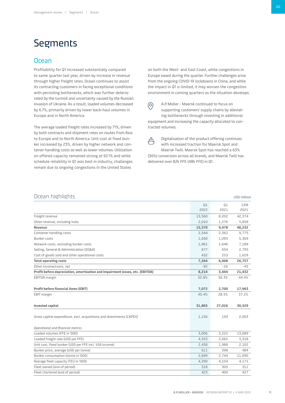# <span id="page-10-0"></span>Segments

# **Ocean**

Profitability for Q1 increased substantially compared to same quarter last year, driven by increase in revenue through higher freight rates. Ocean continues to assist its contracting customers in facing exceptional conditions with persisting bottlenecks, which was further deteriorated by the turmoil and uncertainty caused by the Russian invasion of Ukraine. As a result, loaded volumes decreased by 6.7%, primarily driven by lower back-haul volumes in Europe and in North America.

The average loaded freight rates increased by 71%, driven by both contracts and shipment rates on routes from Asia to Europe and to North America. Unit cost at fixed bunker increased by 23%, driven by higher network and container handling costs as well as lower volumes. Utilisation on offered capacity remained strong at 92.1% and while schedule reliability in Q1 was best in industry, challenges remain due to ongoing congestions in the United States

on both the West- and East Coast, while congestions in Europe eased during the quarter. Further challenges arise from the ongoing COVID-19 lockdowns in China, and while the impact in Q1 is limited, it may worsen the congestion environment in coming quarters as the situation develops.

 $\circledcirc$ 

A.P. Moller - Maersk continued to focus on supporting customers' supply chains by alleviating bottlenecks through investing in additional equipment and increasing the capacity allocated to contracted volumes.

凸

Digitalisation of the product offering continues with increased traction for Maersk Spot and Maersk Twill. Maersk Spot has reached a 63% (36%) conversion across all brands, and Maersk Twill has delivered over 82k FFE (48k FFE) in Q1.

| Ocean highlights                                                              |            |            | USD million |
|-------------------------------------------------------------------------------|------------|------------|-------------|
|                                                                               | Q1<br>2022 | Q1<br>2021 | 12M<br>2021 |
| Freight revenue                                                               | 13,560     | 8,202      | 42,374      |
| Other revenue, including hubs                                                 | 2,010      | 1,276      | 5,858       |
| Revenue                                                                       | 15,570     | 9,478      | 48,232      |
| Container handling costs                                                      | 2,544      | 2,362      | 9,775       |
| <b>Bunker costs</b>                                                           | 1,650      | 1,093      | 5,369       |
| Network costs, excluding bunker costs                                         | 1,961      | 1,646      | 7,189       |
| Selling, General & Administration (SG&A)                                      | 677        | 654        | 2,795       |
| Cost of goods sold and other operational costs                                | 432        | 253        | 1,629       |
| <b>Total operating costs</b>                                                  | 7,264      | 6,008      | 26,757      |
| Other income/costs, net                                                       | $-92$      | $-26$      | -43         |
| Profit before depreciation, amortisation and impairment losses, etc. (EBITDA) | 8,214      | 3,444      | 21,432      |
| EBITDA margin                                                                 | 52.8%      | 36.3%      | 44.4%       |
| <b>Profit before financial items (EBIT)</b>                                   | 7,072      | 2,700      | 17,963      |
| EBIT margin                                                                   | 45.4%      | 28.5%      | 37.2%       |
| Invested capital                                                              | 31,805     | 27,026     | 30,529      |
| Gross capital expenditure, excl. acquisitions and divestments (CAPEX)         | 1,156      | 193        | 2,003       |
| Operational and financial metrics                                             |            |            |             |
| Loaded volumes (FFE in '000)                                                  | 3,006      | 3,222      | 13,089      |
| Loaded freight rate (USD per FFE)                                             | 4,553      | 2,662      | 3,318       |
| Unit cost, fixed bunker (USD per FFE incl. VSA income)                        | 2,438      | 1,988      | 2,102       |
| Bunker price, average (USD per tonne)                                         | 611        | 398        | 484         |
| Bunker consumption (tonne in '000)                                            | 2,699      | 2,744      | 11,090      |
| Average fleet capacity (TEU in '000)                                          | 4,290      | 4,104      | 4,171       |
| Fleet owned (end of period)                                                   | 318        | 305        | 311         |
| Fleet chartered (end of period)                                               | 423        | 400        | 427         |
|                                                                               |            |            |             |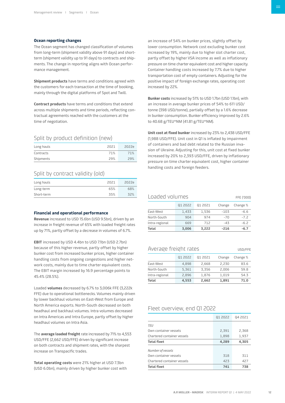# **Ocean reporting changes**

The Ocean segment has changed classification of volumes from long-term (shipment validity above 91 days) and shortterm (shipment validity up to 91 days) to contracts and shipments. The change in reporting aligns with Ocean performance management.

**Shipment products** have terms and conditions agreed with the customers for each transaction at the time of booking, mainly through the digital platforms of Spot and Twill.

**Contract products** have terms and conditions that extend across multiple shipments and time periods, reflecting contractual agreements reached with the customers at the time of negotiation.

# Split by product definition (new)

| Long hauls | 2021 | 2022e |
|------------|------|-------|
| Contracts  | 71%  | 71%   |
| Shipments  | 29%  | 29%   |

# Split by contract validity (old)

| Long hauls | 2021 | 2022e |
|------------|------|-------|
| Long-term  | 65%  | 68%   |
| Short-term | 35%  | 32%   |

## **Financial and operational performance**

**Revenue** increased to USD 15.6bn (USD 9.5bn), driven by an increase in freight revenue of 65% with loaded freight rates up by 71%, partly offset by a decrease in volumes of 6.7%.

**EBIT** increased by USD 4.4bn to USD 7.1bn (USD 2.7bn) because of this higher revenue, partly offset by higher bunker cost from increased bunker prices, higher container handling costs from ongoing congestions and higher network costs, mainly due to time charter equivalent costs. The EBIT margin increased by 16.9 percentage points to 45.4% (28.5%).

Loaded **volumes** decreased by 6.7% to 3,006k FFE (3,222k FFE) due to operational bottlenecks. Volumes mainly driven by lower backhaul volumes on East-West from Europe and North America exports. North-South decreased on both headhaul and backhaul volumes. Intra volumes decreased on Intra Americas and Intra Europe, partly offset by higher headhaul volumes on Intra Asia.

The **average loaded freight** rate increased by 71% to 4,553 USD/FFE (2,662 USD/FFE) driven by significant increase on both contracts and shipment rates, with the sharpest increase on Transpacific trades.

**Total operating costs** were 21% higher at USD 7.3bn (USD 6.0bn), mainly driven by higher bunker cost with

an increase of 54% on bunker prices, slightly offset by lower consumption. Network cost excluding bunker cost increased by 19%, mainly due to higher slot charter cost, partly offset by higher VSA income as well as inflationary pressure on time charter equivalent cost and higher capacity. Container handling costs increased by 7.7% due to higher transportation cost of empty containers. Adjusting for the positive impact of foreign exchange rates, operating cost increased by 22%.

**Bunker costs** increased by 51% to USD 1.7bn (USD 1.1bn), with an increase in average bunker prices of 54% to 611 USD/ tonne (398 USD/tonne), partially offset by a 1.6% decrease in bunker consumption. Bunker efficiency improved by 2.6% to 40.68 g/TEU\*NM (41.81 g/TEU\*NM).

**Unit cost at fixed bunker** increased by 23% to 2,438 USD/FFE (1,988 USD/FFE). Unit cost in Q1 is inflated by impairment of containers and bad debt related to the Russian invasion of Ukraine. Adjusting for this, unit cost at fixed bunker increased by 20% to 2,393 USD/FFE, driven by inflationary pressure on time charter equivalent cost, higher container handling costs and foreign feeders.

| Total                        | 3.006   | 3.222   | $-216$ | -6.7     |  |
|------------------------------|---------|---------|--------|----------|--|
| Intra-regional               | 669     | 712     | $-43$  | $-6.2$   |  |
| North-South                  | 904     | 974     | $-70$  | $-72$    |  |
| East-West                    | 1,433   | 1,536   | $-103$ | $-6.6$   |  |
|                              | 01 2022 | 01 2021 | Change | Change % |  |
| Loaded volumes<br>FFE ('000) |         |         |        |          |  |

# Average freight rates USD/FFE

|                | 01 2022        | 01 2021 | Change | Change % |
|----------------|----------------|---------|--------|----------|
| East-West      | 4,898          | 2,668   | 2,230  | 83.6     |
| North-South    | 5,361          | 3,356   | 2,006  | 59.8     |
| Intra-regional | 2,896<br>1.876 |         | 1.019  | 54.3     |
| Total          | 4,553          | 2,662   | 1,891  | 71.0     |

# Fleet overview, end Q1 2022

|                             | 01 2022 | Q4 2021 |
|-----------------------------|---------|---------|
| <b>TEU</b>                  |         |         |
| Own container vessels       | 2,391   | 2,368   |
| Chartered container vessels | 1,898   | 1,937   |
| <b>Total fleet</b>          | 4,289   | 4,305   |
| Number of vessels           |         |         |
| Own container vessels       | 318     | 311     |
| Chartered container vessels | 423     | 427     |
| <b>Total fleet</b>          | 741     | 738     |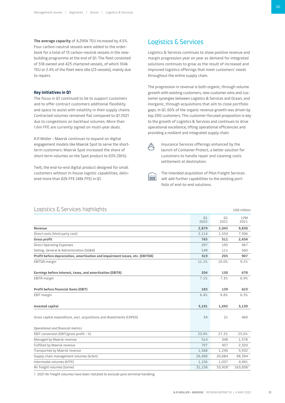<span id="page-12-0"></span>**The average capacity** of 4,290k TEU increased by 4.5%. Four carbon-neutral vessels were added to the orderbook for a total of 13 carbon-neutral vessels in the newbuilding programme at the end of Q1. The fleet consisted of 318 owned and 423 chartered vessels, of which 104k TEU or 2.4% of the fleet were idle (23 vessels), mainly due to repairs.

# **Key initiatives in Q1**

The focus in Q1 continued to be to support customers and to offer contract customers additional flexibility and space to assist with volatility in their supply chains. Contracted volumes remained flat compared to Q1 2021 due to congestions on backhaul volumes. More than 1.6m FFE are currently signed on multi-year deals.

A.P. Moller - Maersk continues to expand on digital engagement models like Maersk Spot to serve the shortterm customers. Maersk Spot increased the share of short-term volumes on the Spot product to 63% (36%).

Twill, the end-to-end digital product designed for small customers without in-house logistic capabilities, delivered more than 82k FFE (48k FFE) in Q1.

# Logistics & Services

Logistics & Services continues to show positive revenue and margin progression year on year as demand for integrated solutions continues to grow as the result of increased and improved logistics offerings that meet customers' needs throughout the entire supply chain.

The progression in revenue is both organic, through volume growth with existing customers, new customer wins and customer synergies between Logistics & Services and Ocean, and inorganic, through acquisitions that aim to close portfolio gaps. In Q1, 60% of the organic revenue growth was driven by top 200 customers. This customer-focused proposition is key to the growth of Logistics & Services and continues to drive operational excellence, lifting operational efficiencies and providing a resilient and integrated supply chain.

凸

Insurance Services offerings enhanced by the launch of Container Protect, a better solution for customers to handle repair and cleaning costs settlement at destination.

| . . | п |  |
|-----|---|--|
|     |   |  |
|     |   |  |

The intended acquisition of Pilot Freight Services will add further capabilities to the existing portfolio of end-to-end solutions.

| Logistics & Services highlights                                               |            |            | USD million |
|-------------------------------------------------------------------------------|------------|------------|-------------|
|                                                                               | Q1<br>2022 | Q1<br>2021 | 12M<br>2021 |
| Revenue                                                                       | 2,879      | 2,045      | 9,830       |
| Direct costs (third party cost)                                               | 2,114      | 1,534      | 7,396       |
| <b>Gross profit</b>                                                           | 765        | 511        | 2,434       |
| <b>Direct Operating Expenses</b>                                              | 297        | 195        | 967         |
| Selling, General & Administration (SG&A)                                      | 149        | 111        | 560         |
| Profit before depreciation, amortisation and impairment losses, etc. (EBITDA) | 319        | 205        | 907         |
| <b>EBITDA</b> margin                                                          | 11.1%      | 10.0%      | 9.2%        |
| Earnings before interest, taxes, and amortisation (EBITA)                     | 204        | 150        | 678         |
| <b>EBITA</b> margin                                                           | 7.1%       | 7.3%       | 6.9%        |
| <b>Profit before financial items (EBIT)</b>                                   | 183        | 139        | 623         |
| EBIT margin                                                                   | 6.4%       | 6.8%       | 6.3%        |
| Invested capital                                                              | 3,191      | 1,692      | 3,130       |
| Gross capital expenditure, excl. acquisitions and divestments (CAPEX)         | 34         | 21         | 460         |
| Operational and financial metrics                                             |            |            |             |
| EBIT conversion (EBIT/gross profit - %)                                       | 23.9%      | 27.2%      | 25.6%       |
| Managed by Maersk revenue                                                     | 514        | 348        | 1,578       |
| Fulfilled by Maersk revenue                                                   | 797        | 457        | 2,320       |
| Transported by Maersk revenue                                                 | 1,568      | 1,240      | 5,932       |
| Supply chain management volumes (kcbm)                                        | 26,490     | 20,684     | 98,394      |
| Intermodal volumes (kFFE)                                                     | 1,156      | 1,037      | 4,491       |
| Air freight volumes (tonne)                                                   | 31,158     | 33,9281    | 163,8381    |
|                                                                               |            |            |             |

1 2021 Air freight volumes have been restated to exclude pure terminal handling.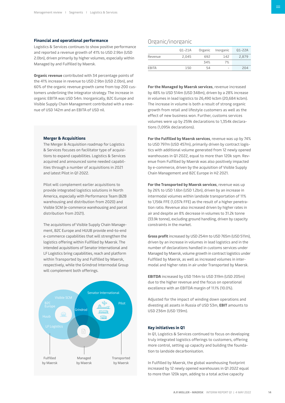# **Financial and operational performance**

Logistics & Services continues to show positive performance and reported a revenue growth of 41% to USD 2.9bn (USD 2.0bn), driven primarily by higher volumes, especially within Managed by and Fulfilled by Maersk.

**Organic revenue** contributed with 34 percentage points of the 41% increase in revenue to USD 2.9bn (USD 2.0bn), and 60% of the organic revenue growth came from top 200 customers underlining the integrator strategy. The increase in organic EBITA was USD 54m. Inorganically, B2C Europe and Visible Supply Chain Management contributed with a revenue of USD 142m and an EBITA of USD nil.

# **Merger & Acquisitions**

The Merger & Acquisition roadmap for Logistics & Services focuses on facilitator type of acquisitions to expand capabilities. Logistics & Services acquired and announced some needed capabilities through a number of acquisitions in 2021 and latest Pilot in Q1 2022.

Pilot will complement earlier acquisitions to provide integrated logistics solutions in North America, especially with Performance Team (B2B warehousing and distribution from 2020) and Visible SCM (e-commerce warehousing and parcel distribution from 2021).

The acquisitions of Visible Supply Chain Management, B2C Europe and HUUB provide end-to-end e-commerce capabilities that will strengthen the logistics offering within Fulfilled by Maersk. The intended acquisitions of Senator International and LF Logistics bring capabilities, reach and platform within Transported by and Fulfilled by Maersk, respectively, while the Grindrod Intermodal Group will complement both offerings.



# Organic/inorganic

|              | Q1-21A | Organic | Inorganic | Q1-22A |
|--------------|--------|---------|-----------|--------|
| Revenue      | 2.045  | 692     | 142       | 2,879  |
|              |        | 34%     | 7%        |        |
| <b>EBITA</b> | 150    | 54      | -         | 204    |

**For the Managed by Maersk services**, revenue increased by 48% to USD 514m (USD 348m), driven by a 28% increase in volumes in lead logistics to 26,490 kcbm (20,684 kcbm). The increase in volume is both a result of strong organic growth from retail and lifestyle customers as well as the effect of new business won. Further, customs services volumes were up by 259k declarations to 1,354k declarations (1,095k declarations).

**For the Fulfilled by Maersk services**, revenue was up by 74% to USD 797m (USD 457m), primarily driven by contract logistics with additional volume generated from 12 newly opened warehouses in Q1 2022, equal to more than 120k sqm. Revenue from Fulfilled by Maersk was also positively impacted by e-commerce, driven by the acquisition of Visible Supply Chain Management and B2C Europe in H2 2021.

**For the Transported by Maersk services**, revenue was up by 26% to USD 1.6bn (USD 1.2bn), driven by an increase in intermodal volumes within landside transportation of 11% to 1,156k FFE (1,037k FFE) as the result of a higher penetration ratio. Revenue also increased driven by higher rates in air and despite an 8% decrease in volumes to 31.2k tonne (33.9k tonne), excluding ground handling, driven by capacity constraints in the market.

**Gross profit** increased by USD 254m to USD 765m (USD 511m), driven by an increase in volumes in lead logistics and in the number of declarations handled in customs services under Managed by Maersk, volume growth in contract logistics under Fulfilled by Maersk, as well as increased volumes in intermodal and higher rates in air under Transported by Maersk.

**EBITDA** increased by USD 114m to USD 319m (USD 205m) due to the higher revenue and the focus on operational excellence with an EBITDA margin of 11.1% (10.0%).

Adjusted for the impact of winding down operations and divesting all assets in Russia of USD 53m, **EBIT** amounts to USD 236m (USD 139m).

# **Key initiatives in Q1**

In Q1, Logistics & Services continued to focus on developing truly integrated logistics offerings to customers, offering more control, setting up capacity and building the foundation to landside decarbonisation.

In Fulfilled by Maersk, the global warehousing footprint increased by 12 newly opened warehouses in Q1 2022 equal to more than 120k sqm, adding to a total active capacity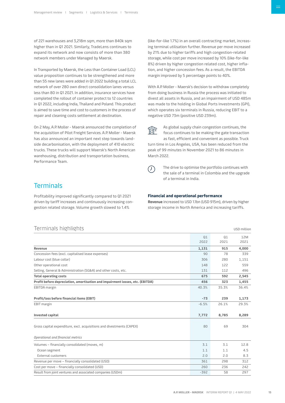<span id="page-14-0"></span>of 221 warehouses and 3,218m sqm, more than 840k sqm higher than in Q1 2021. Similarly, TradeLens continues to expand its network and now consists of more than 380 network members under Managed by Maersk.

In Transported by Maersk, the Less than Container Load (LCL) value proposition continues to be strengthened and more than 55 new lanes were added in Q1 2022 building a total LCL network of over 280 own direct consolidation lanes versus less than 80 in Q1 2021. In addition, insurance services have completed the rollout of container protect to 12 countries in Q1 2022, including India, Thailand and Poland. This product is aimed to save time and cost to customers in the process of repair and cleaning costs settlement at destination.

On 2 May, A.P. Moller - Maersk announced the completion of the acquisition of Pilot Freight Services. A.P. Moller - Maersk has also announced an important next step towards landside decarbonisation, with the deployment of 410 electric trucks. These trucks will support Maersk's North American warehousing, distribution and transportation business, Performance Team.

**Terminals** 

Profitability improved significantly compared to Q1 2021 driven by tariff increases and continuously increasing congestion related storage. Volume growth slowed to 1.4%

# $Terminale biophite$

(like-for-like 1.7%) in an overall contracting market, increasing terminal utilisation further. Revenue per move increased by 21% due to higher tariffs and high congestion-related storage, while cost per move increased by 10% (like-for-like 8%) driven by higher congestion related cost, higher inflation, and higher concession fees. As a result, the EBITDA margin improved by 5 percentage points to 40%.

With A.P. Moller - Maersk's decision to withdraw completely from doing business in Russia the process was initiated to divest all assets in Russia, and an impairment of USD 485m was made to the holding in Global Ports Investments (GPI), which operates six terminals in Russia, reducing EBIT to a negative USD 73m (positive USD 239m).



As global supply chain congestion continues, the focus continues to be making the gate transaction

as fast, efficient and convenient as possible. Truck turn time in Los Angeles, USA, has been reduced from the peak of 99 minutes in November 2021 to 86 minutes in March 2022.



The drive to optimise the portfolio continues with the sale of a terminal in Colombia and the upgrade of a terminal in India.

# **Financial and operational performance**

**Revenue** increased to USD 1.1bn (USD 915m), driven by higher storage income in North America and increasing tariffs.

| TELLI III I dib Tille Lille Lilb                                              |         |       | USD million |
|-------------------------------------------------------------------------------|---------|-------|-------------|
|                                                                               | Q1      | Q1    | 12M         |
|                                                                               | 2022    | 2021  | 2021        |
| Revenue                                                                       | 1,131   | 915   | 4,000       |
| Concession fees (excl. capitalised lease expenses)                            | 90      | 78    | 339         |
| Labour cost (blue collar)                                                     | 306     | 280   | 1,151       |
| Other operational cost                                                        | 148     | 122   | 559         |
| Selling, General & Administration (SG&A) and other costs, etc.                | 131     | 112   | 496         |
| <b>Total operating costs</b>                                                  | 675     | 592   | 2,545       |
| Profit before depreciation, amortisation and impairment losses, etc. (EBITDA) | 456     | 323   | 1,455       |
| EBITDA margin                                                                 | 40.3%   | 35.3% | 36.4%       |
| Profit/loss before financial items (EBIT)                                     | $-73$   | 239   | 1,173       |
| EBIT margin                                                                   | $-6.5%$ | 26.1% | 29.3%       |
| Invested capital                                                              | 7,772   | 8,785 | 8,289       |
| Gross capital expenditure, excl. acquisitions and divestments (CAPEX)         | 80      | 69    | 304         |
| Operational and financial metrics                                             |         |       |             |
| Volumes - financially consolidated (moves, m)                                 | 3.1     | 3.1   | 12.8        |
| Ocean segment                                                                 | 1.1     | 1.1   | 4.5         |
| <b>External customers</b>                                                     | 2.0     | 2.0   | 8.3         |
| Revenue per move - financially consolidated (USD)                             | 361     | 298   | 312         |
| Cost per move - financially consolidated (USD)                                | 260     | 236   | 242         |
| Result from joint ventures and associated companies (USDm)                    | $-392$  | 58    | 297         |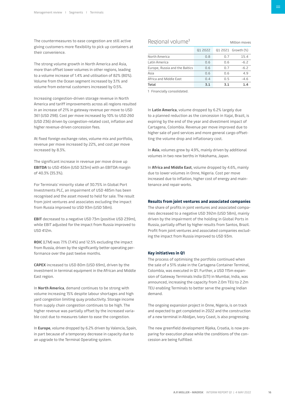The countermeasures to ease congestion are still active giving customers more flexibility to pick up containers at their convenience.

The strong volume growth in North America and Asia, more than offset lower volumes in other regions, leading to a volume increase of 1.4% and utilisation of 82% (80%). Volume from the Ocean segment increased by 3.1% and volume from external customers increased by 0.5%.

Increasing congestion-driven storage revenue in North America and tariff improvements across all regions resulted in an increase of 21% in gateway revenue per move to USD 361 (USD 298). Cost per move increased by 10% to USD 260 (USD 236) driven by congestion-related cost, inflation and higher revenue-driven concession fees.

At fixed foreign exchange rates, volume mix and portfolio, revenue per move increased by 22%, and cost per move increased by 8.3%.

The significant increase in revenue per move drove up **EBITDA** to USD 456m (USD 323m) with an EBITDA margin of 40.3% (35.3%).

For Terminals' minority stake of 30.75% in Global Port Investments PLC, an impairment of USD 485m has been recognised and the asset moved to held for sale. The result from joint ventures and associates excluding the impact from Russia improved to USD 93m (USD 58m).

**EBIT** decreased to a negative USD 73m (positive USD 239m), while EBIT adjusted for the impact from Russia improved to USD 412m.

**ROIC** (LTM) was 7.1% (7.4%) and 12.5% excluding the impact from Russia, driven by the significantly better operating performance over the past twelve months.

**CAPEX** increased to USD 80m (USD 69m), driven by the investment in terminal equipment in the African and Middle East region.

In **North America**, demand continues to be strong with volume increasing 15% despite labour shortages and high yard congestion limiting quay productivity. Storage income from supply chain congestion continues to be high. The higher revenue was partially offset by the increased variable cost due to measures taken to ease the congestion.

In **Europe**, volume dropped by 6.2% driven by Valencia, Spain, in part because of a temporary decrease in capacity due to an upgrade to the Terminal Operating system.

| Regional volume <sup>1</sup><br>Million moves |         |     |                    |
|-----------------------------------------------|---------|-----|--------------------|
|                                               | 01 2022 |     | Q1 2021 Growth (%) |
| North America                                 | 0.8     | 0.7 | 15.4               |
| Latin America                                 | 0.6     | 0.6 | $-6.2$             |
| Europe, Russia and the Baltics                | 0.6     | 0.7 | $-6.2$             |
| Asia                                          | 0.6     | 0.6 | 4.9                |
| Africa and Middle East                        | 0.4     | 0.5 | $-4.6$             |
| Total                                         | 3.1     | 3.1 | 1.4                |

1 Financially consolidated.

In **Latin America**, volume dropped by 6.2% largely due to a planned reduction as the concession in Itajai, Brazil, is expiring by the end of the year and divestment impact of Cartagena, Colombia. Revenue per move improved due to higher sale of yard services and more general cargo offsetting the volume drop and inflationary cost.

In **Asia**, volumes grew by 4.9%, mainly driven by additional volumes in two new berths in Yokohama, Japan.

In **Africa and Middle East**, volume dropped by 4.6%, mainly due to lower volumes in Onne, Nigeria. Cost per move increased due to inflation, higher cost of energy and maintenance and repair works.

## **Results from joint ventures and associated companies**

The share of profits in joint ventures and associated companies decreased to a negative USD 392m (USD 58m), mainly driven by the impairment of the holding in Global Ports in Russia, partially offset by higher results from Santos, Brazil. Profit from joint ventures and associated companies excluding the impact from Russia improved to USD 93m.

# **Key initiatives in Q1**

The process of optimising the portfolio continued when the sale of a 51% stake in the Cartagena Container Terminal, Colombia, was executed in Q1. Further, a USD 115m expansion of Gateway Terminals India (GTI) in Mumbai, India, was announced, increasing the capacity from 2.0m TEU to 2.2m TEU enabling Terminals to better serve the growing Indian demand.

The ongoing expansion project in Onne, Nigeria, is on track and expected to get completed in 2022 and the construction of a new terminal in Abidjan, Ivory Coast, is also progressing.

The new greenfield development Rijeka, Croatia, is now preparing for execution phase while the conditions of the concession are being fulfilled.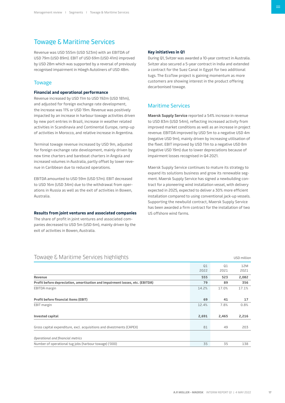# <span id="page-16-0"></span>Towage & Maritime Services

Revenue was USD 555m (USD 523m) with an EBITDA of USD 79m (USD 89m). EBIT of USD 69m (USD 41m) improved by USD 28m which was supported by a reversal of previously recognised impairment in Höegh Autoliners of USD 48m.

# Towage

# **Financial and operational performance**

Revenue increased by USD 11m to USD 192m (USD 181m), and adjusted for foreign exchange rate development, the increase was 11% or USD 19m. Revenue was positively impacted by an increase in harbour towage activities driven by new port entries in Brazil, increase in weather related activities in Scandinavia and Continental Europe, ramp-up of activities in Morocco, and relative increase in Argentina.

Terminal towage revenue increased by USD 9m, adjusted for foreign exchange rate development, mainly driven by new time charters and bareboat charters in Angola and increased volumes in Australia, partly offset by lower revenue in Caribbean due to reduced operations.

EBITDA amounted to USD 59m (USD 57m). EBIT decreased to USD 16m (USD 34m) due to the withdrawal from operations in Russia as well as the exit of activities in Bowen, Australia.

## **Results from joint ventures and associated companies**

The share of profit in joint ventures and associated companies decreased to USD 5m (USD 6m), mainly driven by the exit of activities in Bowen, Australia.

# **Key initiatives in Q1**

During Q1, Svitzer was awarded a 10-year contract in Australia. Svitzer also secured a 5-year contract in India and extended a contract for the Suez Canal in Egypt for two additional tugs. The EcoTow project is gaining momentum as more customers are showing interest in the product offering decarbonised towage.

# Maritime Services

**Maersk Supply Service** reported a 54% increase in revenue to USD 83m (USD 54m), reflecting increased activity from improved market conditions as well as an increase in project revenue. EBITDA improved by USD 5m to a negative USD 4m (negative USD 9m), mainly driven by increasing utilisation of the fleet. EBIT improved by USD 11m to a negative USD 8m (negative USD 19m) due to lower depreciations because of impairment losses recognised in Q4 2021.

Maersk Supply Service continues to mature its strategy to expand its solutions business and grow its renewable segment. Maersk Supply Service has signed a newbuilding contract for a pioneering wind installation vessel, with delivery expected in 2025, expected to deliver a 30% more efficient installation compared to using conventional jack-up vessels. Supporting the newbuild contract, Maersk Supply Service has been awarded a firm contract for the installation of two US offshore wind farms.

| TOWARE G MATILITIE SEIVICES HIRTIIRITIS                                       |       |       | USD million |
|-------------------------------------------------------------------------------|-------|-------|-------------|
|                                                                               | Q1    | Q1    | 12M         |
|                                                                               | 2022  | 2021  | 2021        |
| Revenue                                                                       | 555   | 523   | 2,082       |
| Profit before depreciation, amortisation and impairment losses, etc. (EBITDA) | 79    | 89    | 356         |
| EBITDA margin                                                                 | 14.2% | 17.0% | 17.1%       |
| Profit before financial items (EBIT)                                          | 69    | 41    | 17          |
| EBIT margin                                                                   | 12.4% | 7.8%  | 0.8%        |
| Invested capital                                                              | 2,691 | 2,465 | 2,216       |
| Gross capital expenditure, excl. acquisitions and divestments (CAPEX)         | 81    | 49    | 203         |
| Operational and financial metrics                                             |       |       |             |
| Number of operational tug jobs (harbour towage) ('000)                        | 35    | 35    | 138         |

# $T_1$  and  $T_2$  Maritimes  $T_1$  and  $T_2$  million  $T_1$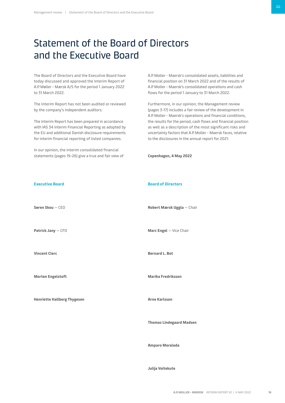# <span id="page-17-0"></span>Statement of the Board of Directors and the Executive Board

The Board of Directors and the Executive Board have today discussed and approved the Interim Report of A.P. Møller - Mærsk A/S for the period 1 January 2022 to 31 March 2022.

[The Interim Report has not been audited or reviewed](pp://Other statements/Statement by executive and supervisory boards?taxonomy=DKGAAP&labellanguage=en&period=1_Consolidated)  by the company's independent auditors.

The Interim Report has been prepared in accordance with IAS 34 Interim Financial Reporting as adopted by the EU and additional Danish disclosure requirements for interim financial reporting of listed companies.

In our opinion, the interim consolidated financial statements (pages 19-26) give a true and fair view of A.P. Moller - Maersk's consolidated assets, liabilities and financial position on 31 March 2022 and of the results of A.P. Moller - Maersk's consolidated operations and cash flows for the period 1 January to 31 March 2022.

Furthermore, in our opinion, the Management review (pages 3-17) includes a fair review of the development in A.P. Moller - Maersk's operations and financial conditions, [the results for the period, cash flows and financial position](pp://Other statements/Statement by executive and supervisory boards?taxonomy=DKGAAP&labellanguage=en&period=1_Consolidated)  as well as a description of the most significant risks and uncertainty factors that A.P. Moller - Maersk faces, relative to the disclosures in the annual report for 2021.

**Executive Board [Søren Skou](pp://General Data/Name and surname of member of executive board 1?taxonomy=DKGAAP&labellanguage=en&allowhtml=false&merge=false											)** — [CEO](pp://General Data/Title of member of executive board 1?taxonomy=DKGAAP&labellanguage=en&allowhtml=false&merge=false										) **[Patrick Jany](pp://General Data/Name and surname of member of executive board 2?taxonomy=DKGAAP&labellanguage=en&allowhtml=false&merge=false											)** — [CFO](pp://General Data/Title of member of executive board 2?taxonomy=DKGAAP&labellanguage=en&allowhtml=false&merge=false										) **[Vincent Clerc](pp://General Data/Name and surname of member of executive board 3?taxonomy=DKGAAP&labellanguage=en&allowhtml=false&merge=false											) [Morten Engelstoft](pp://General Data/Name and surname of member of executive board 4?taxonomy=DKGAAP&labellanguage=en&allowhtml=false&merge=false											) [Henriette Hallberg Thygesen](pp://General Data/Name and surname of member of executive board 5?taxonomy=DKGAAP&labellanguage=en&allowhtml=false&merge=false											) Board of Directors [Marc Engel](pp://General Data/Name and surname of member of supervisory board 2?taxonomy=DKGAAP&labellanguage=en&allowhtml=false&merge=false											)** — [Vice Chair](pp://General Data/Title of member of supervisory board 2?taxonomy=DKGAAP&labellanguage=en&allowhtml=false&merge=false										) **[Bernard L. Bot](pp://General Data/Name and surname of member of supervisory board 3?taxonomy=DKGAAP&labellanguage=en&allowhtml=false&merge=false											) [Marika Fredriksson](pp://General Data/Name and surname of member of supervisory board 4?taxonomy=DKGAAP&labellanguage=en&allowhtml=false&merge=false											) [Arne Karlsson](pp://General Data/Name and surname of member of supervisory board 5?taxonomy=DKGAAP&labellanguage=en&allowhtml=false&merge=false											)**

**[Copenhagen](pp://General Data/Place of signature of statement by management?taxonomy=DKGAAP&labellanguage=en&allowhtml=false										), [4 May 2022](pp://General Data/Date of approval of annual report?taxonomy=DKGAAP&labellanguage=en&allowhtml=false&merge=false									)**

# **[Robert Mærsk Uggla](pp://General Data/Name and surname of member of supervisory board 1?taxonomy=DKGAAP&labellanguage=en&allowhtml=false&merge=false											)** — [Chair](pp://General Data/Title of member of supervisory board 1?taxonomy=DKGAAP&labellanguage=en&allowhtml=false&merge=false										)

**[Thomas Lindegaard Madsen](pp://General Data/Name and surname of member of supervisory board 6?taxonomy=DKGAAP&labellanguage=en&allowhtml=false&merge=false											)**

**[Amparo Moraleda](pp://General Data/Name and surname of member of supervisory board 7?taxonomy=DKGAAP&labellanguage=en&allowhtml=false&merge=false											)**

**[Julija Voitekute](pp://General Data/Name and surname of member of supervisory board 8?taxonomy=DKGAAP&labellanguage=en&allowhtml=false&merge=false											)**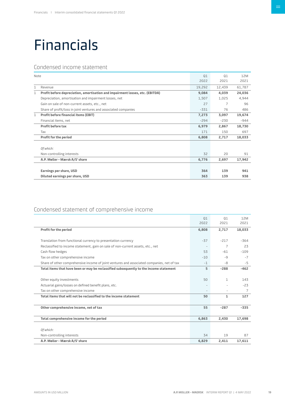# <span id="page-18-0"></span>Financials

# Condensed income statement

| Note |                                                                               | Q1<br>2022 | Q1<br>2021 | 12M<br>2021 |
|------|-------------------------------------------------------------------------------|------------|------------|-------------|
| 1    | Revenue                                                                       | 19,292     | 12,439     | 61,787      |
| 1    | Profit before depreciation, amortisation and impairment losses, etc. (EBITDA) | 9,084      | 4,039      | 24,036      |
|      | Depreciation, amortisation and impairment losses, net                         | 1,507      | 1,025      | 4,944       |
|      | Gain on sale of non-current assets, etc., net                                 | 27         | 7          | 96          |
|      | Share of profit/loss in joint ventures and associated companies               | $-331$     | 76         | 486         |
| 1    | <b>Profit before financial items (EBIT)</b>                                   | 7,273      | 3,097      | 19,674      |
|      | Financial items, net                                                          | $-294$     | $-230$     | $-944$      |
|      | Profit before tax                                                             | 6,979      | 2,867      | 18,730      |
|      | Tax                                                                           | 171        | 150        | 697         |
|      | Profit for the period                                                         | 6,808      | 2,717      | 18,033      |
|      | Of which:                                                                     |            |            |             |
|      | Non-controlling interests                                                     | 32         | 20         | 91          |
|      | A.P. Møller - Mærsk A/S' share                                                | 6,776      | 2,697      | 17,942      |
|      | Earnings per share, USD<br>Diluted earnings per share, USD                    | 364<br>363 | 139<br>139 | 941<br>938  |
|      |                                                                               |            |            |             |

# Condensed statement of comprehensive income

|                                                                                            | Q1    | Q1                       | 12M    |
|--------------------------------------------------------------------------------------------|-------|--------------------------|--------|
|                                                                                            | 2022  | 2021                     | 2021   |
| <b>Profit for the period</b>                                                               | 6,808 | 2,717                    | 18,033 |
|                                                                                            |       |                          |        |
| Translation from functional currency to presentation currency                              | $-37$ | $-217$                   | $-364$ |
| Reclassified to income statement, gain on sale of non-current assets, etc., net            |       | 7                        | 23     |
| Cash flow hedges                                                                           | 53    | $-61$                    | $-109$ |
| Tax on other comprehensive income                                                          | $-10$ | $-Q$                     | $-7$   |
| Share of other comprehensive income of joint ventures and associated companies, net of tax | $-1$  | -8                       | $-5$   |
| Total items that have been or may be reclassified subsequently to the income statement     | 5     | $-288$                   | $-462$ |
|                                                                                            |       |                          |        |
| Other equity investments                                                                   | 50    | 1                        | 143    |
| Actuarial gains/losses on defined benefit plans, etc.                                      |       |                          | $-23$  |
| Tax on other comprehensive income                                                          |       | $\overline{\phantom{0}}$ | 7      |
| Total items that will not be reclassified to the income statement                          | 50    | 1                        | 127    |
|                                                                                            |       |                          |        |
| Other comprehensive income, net of tax                                                     | 55    | $-287$                   | $-335$ |
|                                                                                            |       |                          |        |
| Total comprehensive income for the period                                                  | 6,863 | 2,430                    | 17,698 |
|                                                                                            |       |                          |        |
| Of which:                                                                                  |       |                          |        |
| Non-controlling interests                                                                  | 34    | 19                       | 87     |
| A.P. Møller - Mærsk A/S' share                                                             | 6.829 | 2.411                    | 17.611 |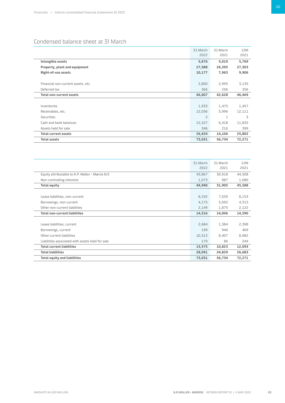# <span id="page-19-0"></span>Condensed balance sheet at 31 March

|                                    | 31 March<br>2022 | 31 March<br>2021 | 12M<br>2021 |
|------------------------------------|------------------|------------------|-------------|
| Intangible assets                  | 5,676            | 5,019            | 5,769       |
| Property, plant and equipment      | 27,588           | 26,395           | 27,303      |
| Right-of-use assets                | 10,177           | 7,963            | 9,906       |
|                                    |                  |                  |             |
| Financial non-current assets, etc. | 2,800            | 2,995            | 3,135       |
| Deferred tax                       | 366              | 256              | 356         |
| <b>Total non-current assets</b>    | 46,607           | 42,628           | 46,469      |
|                                    |                  |                  |             |
| Inventories                        | 1,933            | 1,475            | 1,457       |
| Receivables, etc.                  | 12,036           | 5,996            | 12,111      |
| Securities                         | $\overline{c}$   | $\mathbf{1}$     | 3           |
| Cash and bank balances             | 12,107           | 6,418            | 11,832      |
| Assets held for sale               | 346              | 216              | 399         |
| <b>Total current assets</b>        | 26,424           | 14,106           | 25,802      |
| <b>Total assets</b>                | 73,031           | 56,734           | 72,271      |

|                                                  | 31 March | 31 March | 12M    |
|--------------------------------------------------|----------|----------|--------|
|                                                  | 2022     | 2021     | 2021   |
| Equity attributable to A.P. Møller - Mærsk A/S   | 43,867   | 30,918   | 44,508 |
| Non-controlling interests                        | 1,073    | 987      | 1,080  |
| <b>Total equity</b>                              | 44,940   | 31,905   | 45,588 |
|                                                  |          |          |        |
| Lease liabilities, non-current                   | 8,192    | 7,039    | 8,153  |
| Borrowings, non-current                          | 4,175    | 5,092    | 4,315  |
| Other non-current liabilities                    | 2,149    | 1,875    | 2,122  |
| <b>Total non-current liabilities</b>             | 14,516   | 14,006   | 14,590 |
|                                                  |          |          |        |
| Lease liabilities, current                       | 2,684    | 1,384    | 2,398  |
| Borrowings, current                              | 199      | 946      | 469    |
| Other current liabilities                        | 10,513   | 8,407    | 8,982  |
| Liabilities associated with assets held for sale | 179      | 86       | 244    |
| <b>Total current liabilities</b>                 | 13,575   | 10,823   | 12,093 |
| <b>Total liabilities</b>                         | 28,091   | 24,829   | 26,683 |
| <b>Total equity and liabilities</b>              | 73,031   | 56,734   | 72,271 |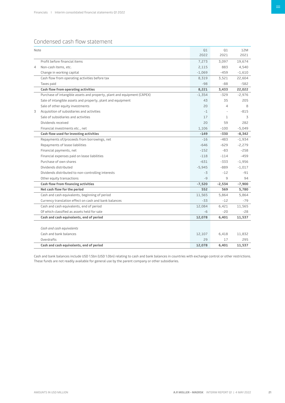# <span id="page-20-0"></span>Condensed cash flow statement

| Note |                                                                         | Q1<br>2022 | Q1<br>2021   | 12M<br>2021 |
|------|-------------------------------------------------------------------------|------------|--------------|-------------|
|      | Profit before financial items                                           | 7,273      | 3,097        | 19,674      |
| 4    | Non-cash items, etc.                                                    | 2,115      | 883          | 4,540       |
|      | Change in working capital                                               | $-1,069$   | $-459$       | $-1,610$    |
|      | Cash flow from operating activities before tax                          | 8,319      | 3,521        | 22,604      |
|      | Taxes paid                                                              | $-98$      | $-88$        | $-582$      |
|      | Cash flow from operating activities                                     | 8,221      | 3,433        | 22,022      |
|      | Purchase of intangible assets and property, plant and equipment (CAPEX) | $-1,354$   | $-329$       | $-2,976$    |
|      | Sale of intangible assets and property, plant and equipment             | 43         | 35           | 205         |
|      | Sale of other equity investments                                        | 20         | 4            | 8           |
| 3    | Acquisition of subsidiaries and activities                              | $-1$       |              | $-815$      |
|      | Sale of subsidiaries and activities                                     | 17         | $\mathbf{1}$ | 3           |
|      | Dividends received                                                      | 20         | 59           | 282         |
|      | Financial investments etc., net                                         | 1,106      | $-100$       | $-5,049$    |
|      | Cash flow used for investing activities                                 | $-149$     | $-330$       | $-8,342$    |
|      | Repayments of/proceeds from borrowings, net                             | $-16$      | $-483$       | $-1,934$    |
|      | Repayments of lease liabilities                                         | $-646$     | $-629$       | $-2,279$    |
|      | Financial payments, net                                                 | $-152$     | $-83$        | $-258$      |
|      | Financial expenses paid on lease liabilities                            | $-118$     | $-114$       | $-459$      |
|      | Purchase of own shares                                                  | $-631$     | -333         | $-1,956$    |
|      | Dividends distributed                                                   | $-5,945$   | $-889$       | $-1,017$    |
|      | Dividends distributed to non-controlling interests                      | $-3$       | $-12$        | $-91$       |
|      | Other equity transactions                                               | $-9$       | q            | 94          |
|      | Cash flow from financing activities                                     | $-7,520$   | $-2,534$     | $-7,900$    |
|      | Net cash flow for the period                                            | 552        | 569          | 5,780       |
|      | Cash and cash equivalents, beginning of period                          | 11,565     | 5,864        | 5,864       |
|      | Currency translation effect on cash and bank balances                   | $-33$      | $-12$        | $-79$       |
|      | Cash and cash equivalents, end of period                                | 12,084     | 6,421        | 11,565      |
|      | Of which classified as assets held for sale                             | $-6$       | $-20$        | -28         |
|      | Cash and cash equivalents, end of period                                | 12,078     | 6,401        | 11,537      |
|      |                                                                         |            |              |             |
|      | Cash and cash equivalents                                               |            |              |             |
|      | Cash and bank balances                                                  | 12,107     | 6,418        | 11,832      |
|      | Overdrafts                                                              | 29         | 17           | 295         |
|      | Cash and cash equivalents, end of period                                | 12,078     | 6,401        | 11,537      |

Cash and bank balances include USD 1.5bn (USD 1.0bn) relating to cash and bank balances in countries with exchange control or other restrictions. These funds are not readily available for general use by the parent company or other subsidiaries.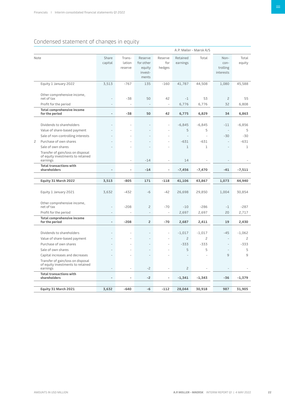# <span id="page-21-0"></span>Condensed statement of changes in equity

| A.P. Møller - Mærsk A/S |                                                                                    |                          |                             |                                                    |                          |                      |                |                                       |                 |
|-------------------------|------------------------------------------------------------------------------------|--------------------------|-----------------------------|----------------------------------------------------|--------------------------|----------------------|----------------|---------------------------------------|-----------------|
| Note                    |                                                                                    | Share<br>capital         | Trans-<br>lation<br>reserve | Reserve<br>for other<br>equity<br>invest-<br>ments | Reserve<br>for<br>hedges | Retained<br>earnings | Total          | Non-<br>con-<br>trolling<br>interests | Total<br>equity |
|                         | Equity 1 January 2022                                                              | 3,513                    | $-767$                      | 135                                                | $-160$                   | 41,787               | 44,508         | 1,080                                 | 45,588          |
|                         | Other comprehensive income,<br>net of tax                                          |                          | $-38$                       | 50                                                 | 42                       | $-1$                 | 53             | $\overline{c}$                        | 55              |
|                         | Profit for the period                                                              | $\overline{\phantom{a}}$ | $\overline{\phantom{a}}$    |                                                    | $\overline{\phantom{a}}$ | 6,776                | 6,776          | 32                                    | 6,808           |
|                         | <b>Total comprehensive income</b><br>for the period                                | $\overline{\phantom{a}}$ | -38                         | 50                                                 | 42                       | 6,775                | 6,829          | 34                                    | 6,863           |
|                         |                                                                                    |                          |                             |                                                    |                          |                      |                |                                       |                 |
|                         | Dividends to shareholders                                                          |                          |                             |                                                    | L.                       | $-6,845$             | $-6,845$       | $-11$                                 | $-6,856$        |
|                         | Value of share-based payment                                                       |                          |                             |                                                    |                          | 5                    | 5              |                                       | 5               |
|                         | Sale of non-controlling interests                                                  |                          |                             |                                                    |                          |                      | $\overline{a}$ | -30                                   | $-30$           |
| $\overline{c}$          | Purchase of own shares                                                             |                          |                             |                                                    |                          | $-631$               | $-631$         |                                       | $-631$          |
|                         | Sale of own shares                                                                 |                          |                             |                                                    |                          | 1                    | $\mathbf{1}$   |                                       | 1               |
|                         | Transfer of gain/loss on disposal<br>of equity investments to retained<br>earnings |                          | ÷,                          | $-14$                                              | ÷,                       | 14                   |                |                                       |                 |
|                         | <b>Total transactions with</b>                                                     |                          |                             |                                                    |                          |                      |                |                                       |                 |
|                         | shareholders                                                                       | $\overline{\phantom{a}}$ | ٠                           | $-14$                                              | $\overline{\phantom{a}}$ | $-7,456$             | $-7,470$       | $-41$                                 | $-7,511$        |
|                         |                                                                                    |                          |                             |                                                    |                          |                      |                |                                       |                 |
|                         | Equity 31 March 2022                                                               | 3,513                    | $-805$                      | 171                                                | $-118$                   | 41,106               | 43,867         | 1,073                                 | 44,940          |
|                         | Equity 1 January 2021                                                              | 3,632                    | $-432$                      | $-6$                                               | $-42$                    | 26,698               | 29,850         | 1,004                                 | 30,854          |
|                         | Other comprehensive income,<br>net of tax                                          |                          | $-208$                      | $\overline{c}$                                     | $-70$                    | $-10$                | $-286$         | $-1$                                  | $-287$          |
|                         | Profit for the period                                                              |                          | L.                          | $\overline{a}$                                     | i.                       | 2,697                | 2,697          | 20                                    | 2,717           |
|                         | Total comprehensive income<br>for the period                                       | $\overline{\phantom{a}}$ | $-208$                      | 2                                                  | $-70$                    | 2,687                | 2,411          | 19                                    | 2,430           |
|                         |                                                                                    |                          |                             |                                                    |                          |                      |                |                                       |                 |
|                         | Dividends to shareholders                                                          |                          |                             |                                                    | L,                       | $-1,017$             | $-1,017$       | $-45$                                 | $-1,062$        |
|                         | Value of share-based payment                                                       |                          |                             |                                                    |                          | $\overline{c}$       | 2              |                                       | 2               |
|                         | Purchase of own shares                                                             |                          |                             |                                                    |                          | $-333$               | $-333$         |                                       | $-333$          |
|                         | Sale of own shares                                                                 |                          |                             | $\overline{\phantom{a}}$                           |                          | 5                    | 5              |                                       | 5               |
|                         | Capital increases and decreases                                                    |                          |                             |                                                    |                          |                      |                | 9                                     | 9               |
|                         | Transfer of gain/loss on disposal<br>of equity investments to retained<br>earnings |                          |                             | $-2$                                               |                          | $\overline{c}$       |                |                                       |                 |
|                         | <b>Total transactions with</b><br>shareholders                                     |                          | ÷                           | $-2$                                               | ä,                       | $-1,341$             | $-1,343$       | $-36$                                 | $-1,379$        |
|                         |                                                                                    |                          |                             |                                                    |                          |                      |                |                                       |                 |
|                         | Equity 31 March 2021                                                               | 3,632                    | $-640$                      | $-6$                                               | $-112$                   | 28,044               | 30,918         | 987                                   | 31,905          |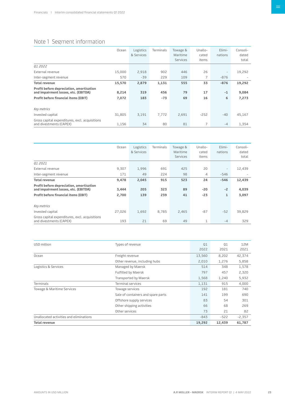# <span id="page-22-0"></span>Note 1 Segment information

|                                                                                  | Ocean  | Logistics<br>& Services | Terminals | Towage &<br>Maritime<br><b>Services</b> | Unallo-<br>cated<br>items | Elimi-<br>nations        | Consoli-<br>dated<br>total |
|----------------------------------------------------------------------------------|--------|-------------------------|-----------|-----------------------------------------|---------------------------|--------------------------|----------------------------|
| 01 2022                                                                          |        |                         |           |                                         |                           |                          |                            |
| External revenue                                                                 | 15,000 | 2,918                   | 902       | 446                                     | 26                        | $\overline{\phantom{a}}$ | 19,292                     |
| Inter-segment revenue                                                            | 570    | $-39$                   | 229       | 109                                     | 7                         | $-876$                   |                            |
| <b>Total revenue</b>                                                             | 15,570 | 2,879                   | 1,131     | 555                                     | 33                        | $-876$                   | 19,292                     |
| Profit before depreciation, amortisation<br>and impairment losses, etc. (EBITDA) | 8,214  | 319                     | 456       | 79                                      | 17                        | $-1$                     | 9,084                      |
| <b>Profit before financial items (EBIT)</b>                                      | 7,072  | 183                     | $-73$     | 69                                      | 16                        | 6                        | 7,273                      |
| Key metrics                                                                      |        |                         |           |                                         |                           |                          |                            |
| Invested capital                                                                 | 31,805 | 3,191                   | 7,772     | 2,691                                   | $-252$                    | $-40$                    | 45,167                     |
| Gross capital expenditures, excl. acquisitions<br>and divestments (CAPEX)        | 1,156  | 34                      | 80        | 81                                      | 7                         | $-4$                     | 1,354                      |

|                                                                                  | Ocean  | Logistics<br>& Services | Terminals | Towage &<br>Maritime<br><b>Services</b> | Unallo-<br>cated<br>items | Elimi-<br>nations        | Consoli-<br>dated<br>total |
|----------------------------------------------------------------------------------|--------|-------------------------|-----------|-----------------------------------------|---------------------------|--------------------------|----------------------------|
| 01 2021                                                                          |        |                         |           |                                         |                           |                          |                            |
| External revenue                                                                 | 9,307  | 1,996                   | 691       | 425                                     | 20                        | $\overline{\phantom{a}}$ | 12,439                     |
| Inter-segment revenue                                                            | 171    | 49                      | 224       | 98                                      | 4                         | $-546$                   |                            |
| <b>Total revenue</b>                                                             | 9,478  | 2,045                   | 915       | 523                                     | 24                        | $-546$                   | 12,439                     |
| Profit before depreciation, amortisation<br>and impairment losses, etc. (EBITDA) | 3,444  | 205                     | 323       | 89                                      | $-20$                     | $-2$                     | 4,039                      |
| <b>Profit before financial items (EBIT)</b>                                      | 2,700  | 139                     | 239       | 41                                      | $-23$                     | 1                        | 3,097                      |
|                                                                                  |        |                         |           |                                         |                           |                          |                            |
| Key metrics                                                                      |        |                         |           |                                         |                           |                          |                            |
| Invested capital                                                                 | 27,026 | 1,692                   | 8.785     | 2,465                                   | $-87$                     | $-52$                    | 39,829                     |
| Gross capital expenditures, excl. acquisitions<br>and divestments (CAPEX)        | 193    | 21                      | 69        | 49                                      | 1                         | $-4$                     | 329                        |

| USD million                             | Types of revenue                   | Q1     | Q1       | 12M    |
|-----------------------------------------|------------------------------------|--------|----------|--------|
|                                         |                                    | 2022   | 2021     | 2021   |
| Ocean                                   | Freight revenue                    | 13,560 | 8,202    | 42,374 |
|                                         | Other revenue, including hubs      | 2,010  | 1,276    | 5,858  |
| Logistics & Services                    | Managed by Maersk                  | 514    | 348      | 1,578  |
|                                         | Fulfilled by Maersk                | 797    | 457      | 2,320  |
|                                         | Transported by Maersk              | 1,568  | 1,240    | 5,932  |
| Terminals                               | <b>Terminal services</b>           | 1,131  | 915      | 4,000  |
| Towage & Maritime Services              | Towage services                    | 192    | 181      | 740    |
|                                         | Sale of containers and spare parts | 141    | 199      | 690    |
|                                         | Offshore supply services           | 83     | 54       | 301    |
|                                         | Other shipping activities          | 66     | 68       | 269    |
|                                         | Other services                     | 73     | 21       | 82     |
| Unallocated activities and eliminations | $-843$                             | $-522$ | $-2,357$ |        |
| <b>Total revenue</b>                    |                                    | 19,292 | 12,439   | 61,787 |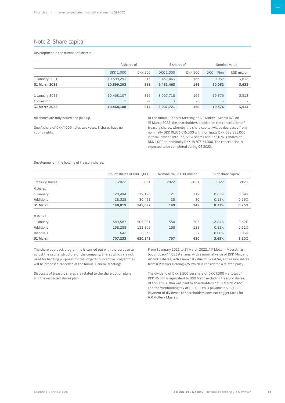# Note 2 Share capital

## Development in the number of shares:

|                |                   | A shares of    |                             | B shares of |                    | Nominal value            |  |
|----------------|-------------------|----------------|-----------------------------|-------------|--------------------|--------------------------|--|
|                | <b>DKK 1.000</b>  | <b>DKK 500</b> | DKK 1.000<br><b>DKK 500</b> |             | <b>DKK</b> million | USD million              |  |
| 1 January 2021 | 10,599,293        | 216            | 9,432,463                   | 166         | 20,032             | 3,632                    |  |
| 31 March 2021  | 10,599,293<br>216 |                | 9,432,463                   | 166         | 20,032             | 3,632                    |  |
|                |                   |                |                             |             |                    |                          |  |
| 1 January 2022 | 10,468,107        | 216            | 8,907,718                   | 166         | 19.376             | 3,513                    |  |
| Conversion     |                   | $-2$           | 3                           | -6          |                    | $\overline{\phantom{a}}$ |  |
| 31 March 2022  | 10,468,108        | 214            | 8,907,721                   | 160         | 19,376             | 3,513                    |  |

All shares are fully issued and paid up.

One A share of DKK 1,000 holds two votes. B shares have no voting rights.

At the Annual General Meeting of A.P. Møller - Mærsk A/S on 15 March 2022, the shareholders decided on the cancellation of treasury shares, whereby the share capital will be decreased from nominally DKK 19,376,016,000 with nominally DKK 688,855,000 in total, divided into 133,779 A shares and 535,076 B shares of DKK 1,000 to nominally DKK 18,707,161,000. The cancellation is expected to be completed during Q2 2022.

Development in the holding of treasury shares:

|                  | No. of shares of DKK 1,000 |         | Nominal value DKK million |                | % of share capital |       |
|------------------|----------------------------|---------|---------------------------|----------------|--------------------|-------|
| Treasury shares  | 2022                       | 2021    | 2022                      | 2021           | 2022               | 2021  |
| A shares         |                            |         |                           |                |                    |       |
| 1 January        | 120,494                    | 119,176 | 121                       | 119            | 0.62%              | 0.59% |
| <b>Additions</b> | 30,451<br>28,325           |         | 28                        | 30             | 0.15%              | 0.16% |
| 31 March         | 148,819                    | 149,627 | 149                       | 149            | 0.77%              | 0.75% |
|                  |                            |         |                           |                |                    |       |
| <b>B</b> shares  |                            |         |                           |                |                    |       |
| 1 January        | 549,587                    | 505,281 | 550                       | 505            | 2.84%              | 2.52% |
| <b>Additions</b> | 158,288                    | 121,805 | 158                       | 122            | 0.81%              | 0.61% |
| Disposals        | 642                        | 6,538   | 1                         | $\overline{7}$ | 0.00%              | 0.03% |
| 31 March         | 620,548<br>707,233         |         | 707                       | 620            | 3.65%              | 3.10% |

The share buy-back programme is carried out with the purpose to adjust the capital structure of the company. Shares which are not used for hedging purposes for the long-term incentive programmes will be proposed cancelled at the Annual General Meetings.

Disposals of treasury shares are related to the share option plans and the restricted shares plan.

From 1 January 2022 to 31 March 2022, A.P. Moller - Maersk has bought back 14,083 A shares, with a nominal value of DKK 14m, and 42,740 B shares, with a nominal value of DKK 43m, as treasury shares from A.P. Møller Holding A/S, which is considered a related party.

The dividend of DKK 2,500 per share of DKK 1,000 – a total of DKK 46.8bn is equivalent to USD 6.9bn excluding treasury shares. Of this, USD 6.0bn was paid to shareholders on 18 March 2022, and the withholding tax of USD 900m is payable in Q2 2022. Payment of dividends to shareholders does not trigger taxes for A.P. Moller - Maersk.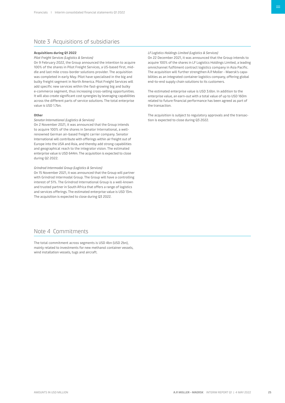# Note 3 Acquisitions of subsidiaries

#### **Acquisitions during Q1 2022**

#### *Pilot Freight Services (Logistics & Services)*

On 9 February 2022, the Group announced the intention to acquire 100% of the shares in Pilot Freight Services, a US-based first, middle and last mile cross-border solutions provider. The acquisition was completed in early May. Pilot have specialised in the big and bulky freight segment in North America. Pilot Freight Services will add specific new services within the fast-growing big and bulky e-commerce segment, thus increasing cross-selling opportunities. It will also create significant cost synergies by leveraging capabilities across the different parts of service solutions. The total enterprise value is USD 1.7bn.

#### **Other**

#### *Senator International (Logistics & Services)*

On 2 November 2021, it was announced that the Group intends to acquire 100% of the shares in Senator International, a wellrenowned German air-based freight carrier company. Senator International will contribute with offerings within air freight out of Europe into the USA and Asia, and thereby add strong capabilities and geographical reach to the integrator vision. The estimated enterprise value is USD 644m. The acquisition is expected to close during Q2 2022.

#### *Grindrod Intermodal Group (Logistics & Services)*

On 15 November 2021, it was announced that the Group will partner with Grindrod Intermodal Group. The Group will have a controlling interest of 51%. The Grindrod International Group is a well-known and trusted partner in South Africa that offers a range of logistics and services offerings. The estimated enterprise value is USD 13m. The acquisition is expected to close during Q3 2022.

#### *LF Logistics Holdings Limited (Logistics & Services)*

On 22 December 2021, it was announced that the Group intends to acquire 100% of the shares in LF Logistics Holdings Limited, a leading omnichannel fulfilment contract logistics company in Asia Pacific. The acquisition will further strengthen A.P. Moller - Maersk's capabilities as an integrated container logistics company, offering global end-to-end supply chain solutions to its customers.

The estimated enterprise value is USD 3.6bn. In addition to the enterprise value, an earn-out with a total value of up to USD 160m related to future financial performance has been agreed as part of the transaction.

The acquisition is subject to regulatory approvals and the transaction is expected to close during Q3 2022.

# Note 4 Commitments

The total commitment across segments is USD 4bn (USD 2bn), mainly related to investments for new methanol container vessels, wind installation vessels, tugs and aircraft.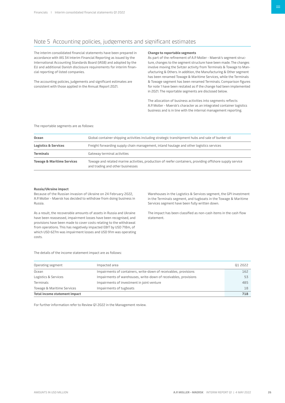# Note 5 Accounting policies, judgements and significant estimates

The interim consolidated financial statements have been prepared in accordance with IAS 34 Interim Financial Reporting as issued by the International Accounting Standards Board (IASB) and adopted by the EU and additional Danish disclosure requirements for interim financial reporting of listed companies.

The accounting policies, judgements and significant estimates are consistent with those applied in the Annual Report 2021.

#### **Change to reportable segments**

As part of the refinement of A.P. Moller - Maersk's segment structure, changes to the segment structure have been made. The changes involve moving the Svitzer activity from Terminals & Towage to Manufacturing & Others. In addition, the Manufacturing & Other segment has been renamed Towage & Maritime Services, while the Terminals & Towage segment has been renamed Terminals. Comparison figures for note 1 have been restated as if the change had been implemented in 2021. The reportable segments are disclosed below.

The allocation of business activities into segments reflects A.P. Moller - Maersk's character as an integrated container logistics business and is in line with the internal management reporting.

#### The reportable segments are as follows:

| Ocean                                 | Global container shipping activities including strategic transhipment hubs and sale of bunker oil                                            |
|---------------------------------------|----------------------------------------------------------------------------------------------------------------------------------------------|
| <b>Logistics &amp; Services</b>       | Freight forwarding supply chain management, inland haulage and other logistics services                                                      |
| <b>Terminals</b>                      | Gateway terminal activities                                                                                                                  |
| <b>Towage &amp; Maritime Services</b> | Towage and related marine activities, production of reefer containers, providing offshore supply service<br>and trading and other businesses |

## **Russia/Ukraine impact**

Because of the Russian invasion of Ukraine on 24 February 2022, A.P. Moller - Maersk has decided to withdraw from doing business in Russia.

As a result, the recoverable amounts of assets in Russia and Ukraine have been reassessed, impairment losses have been recognised, and provisions have been made to cover costs relating to the withdrawal from operations. This has negatively impacted EBIT by USD 718m, of which USD 627m was impairment losses and USD 91m was operating costs.

Warehouses in the Logistics & Services segment, the GPI investment in the Terminals segment, and tugboats in the Towage & Maritime Services segment have been fully written down.

The impact has been classified as non-cash items in the cash flow statement.

The details of the income statement impact are as follows:

| Operating segment             | Impacted area                                                    | Q1 2022 |  |
|-------------------------------|------------------------------------------------------------------|---------|--|
| Ocean                         | Impairments of containers, write-down of receivables, provisions | 162     |  |
| Logistics & Services          | Impairments of warehouses, write-down of receivables, provisions | 53      |  |
| Terminals                     | Impairments of investment in joint venture                       | 485     |  |
| Towage & Maritime Services    | Impairments of tugboats                                          | 18      |  |
| Total income statement impact |                                                                  |         |  |

For further information refer to Review Q1 2022 in the Management review.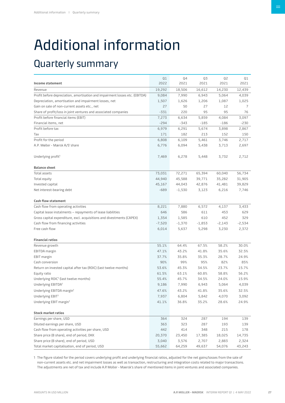# <span id="page-26-0"></span>Additional information

# Quarterly summary

|                                                                              | Q1       | Q4       | Q3       | Q2       | Q1       |
|------------------------------------------------------------------------------|----------|----------|----------|----------|----------|
| Income statement                                                             | 2022     | 2021     | 2021     | 2021     | 2021     |
| Revenue                                                                      | 19,292   | 18,506   | 16,612   | 14,230   | 12,439   |
| Profit before depreciation, amortisation and impairment losses etc. (EBITDA) | 9,084    | 7,990    | 6,943    | 5,064    | 4,039    |
| Depreciation, amortisation and impairment losses, net                        | 1,507    | 1,626    | 1,206    | 1,087    | 1,025    |
| Gain on sale of non-current assets etc., net                                 | 27       | 50       | 27       | 12       | 7        |
| Share of profit/loss in joint ventures and associated companies              | $-331$   | 220      | 95       | 95       | 76       |
| Profit before financial items (EBIT)                                         | 7,273    | 6,634    | 5,859    | 4,084    | 3,097    |
| Financial items, net                                                         | $-294$   | $-343$   | $-185$   | $-186$   | $-230$   |
| Profit before tax                                                            | 6,979    | 6,291    | 5,674    | 3,898    | 2,867    |
| Tax                                                                          | 171      | 182      | 213      | 152      | 150      |
| Profit for the period                                                        | 6,808    | 6,109    | 5,461    | 3,746    | 2,717    |
| A.P. Møller - Mærsk A/S' share                                               | 6,776    | 6,094    | 5,438    | 3,713    | 2,697    |
| Underlying profit <sup>1</sup>                                               | 7,469    | 6,278    | 5,448    | 3,732    | 2,712    |
| <b>Balance sheet</b>                                                         |          |          |          |          |          |
| Total assets                                                                 | 73,031   | 72,271   | 65,394   | 60,040   | 56,734   |
| Total equity                                                                 | 44,940   | 45,588   | 39,771   | 35,282   | 31,905   |
| Invested capital                                                             | 45,167   | 44,043   | 42,876   | 41,481   | 39,829   |
| Net interest-bearing debt                                                    | $-689$   | $-1,530$ | 3,123    | 6,216    | 7,746    |
| <b>Cash flow statement</b>                                                   |          |          |          |          |          |
| Cash flow from operating activities                                          | 8,221    | 7,880    | 6,572    | 4,137    | 3,433    |
| Capital lease instalments - repayments of lease liabilities                  | 646      | 586      | 611      | 453      | 629      |
| Gross capital expenditure, excl. acquisitions and divestments (CAPEX)        | 1,354    | 1,585    | 610      | 452      | 329      |
| Cash flow from financing activities                                          | $-7,520$ | $-1,370$ | $-1,853$ | $-2,143$ | $-2,534$ |
| Free cash flow                                                               | 6,014    | 5,637    | 5,298    | 3,230    | 2,372    |
| <b>Financial ratios</b>                                                      |          |          |          |          |          |
| Revenue growth                                                               | 55.1%    | 64.4%    | 67.5%    | 58.2%    | 30.0%    |
| EBITDA margin                                                                | 47.1%    | 43.2%    | 41.8%    | 35.6%    | 32.5%    |
| <b>EBIT</b> margin                                                           | 37.7%    | 35.8%    | 35.3%    | 28.7%    | 24.9%    |
| Cash conversion                                                              | 90%      | 99%      | 95%      | 82%      | 85%      |
| Return on invested capital after tax (ROIC) (last twelve months)             | 53.6%    | 45.3%    | 34.5%    | 23.7%    | 15.7%    |
| Equity ratio                                                                 | 61.5%    | 63.1%    | 60.8%    | 58.8%    | 56.2%    |
| Underlying ROIC <sup>1</sup> (last twelve months)                            | 55.4%    | 45.7%    | 34.5%    | 24.0%    | 15.9%    |
| Underlying EBITDA <sup>1</sup>                                               | 9,186    | 7,990    | 6,943    | 5,064    | 4,039    |
| Underlying EBITDA margin <sup>1</sup>                                        | 47.6%    | 43.2%    | 41.8%    | 35.6%    | 32.5%    |
| Underlying EBIT <sup>1</sup>                                                 | 7,937    | 6,804    | 5,842    | 4,070    | 3,092    |
| Underlying EBIT margin <sup>1</sup>                                          | 41.1%    | 36.8%    | 35.2%    | 28.6%    | 24.9%    |
| <b>Stock market ratios</b>                                                   |          |          |          |          |          |
| Earnings per share, USD                                                      | 364      | 324      | 287      | 194      | 139      |
| Diluted earnings per share, USD                                              | 363      | 323      | 287      | 193      | 139      |
| Cash flow from operating activities per share, USD                           | 442      | 414      | 348      | 215      | 178      |
| Share price (B share), end of period, DKK                                    | 20,370   | 23,450   | 17,385   | 18,025   | 14,735   |
| Share price (B share), end of period, USD                                    | 3,040    | 3,576    | 2,707    | 2,883    | 2,324    |
| Total market capitalisation, end of period, USD                              | 55,662   | 64,259   | 49,637   | 54,076   | 43,243   |

1 The figure stated for the period covers underlying profit and underlying financial ratios, adjusted for the net gains/losses from the sale of non-current assets etc. and net impairment losses as well as transaction, restructuring and integration costs related to major transactions. The adjustments are net of tax and include A.P. Moller - Maersk's share of mentioned items in joint ventures and associated companies.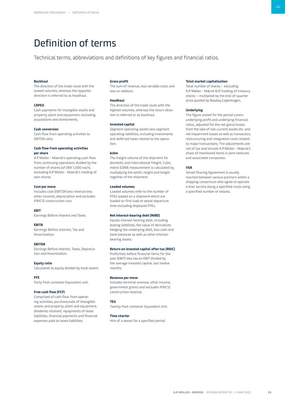# <span id="page-27-0"></span>Definition of terms

Technical terms, abbreviations and definitions of key figures and financial ratios.

## **Backhaul**

The direction of the trade route with the lowest volumes, whereas the opposite direction is referred to as headhaul.

#### **CAPEX**

Cash payments for intangible assets and property, plant and equipment, excluding acquisitions and divestments.

#### **Cash conversion**

Cash flow from operating activities to EBITDA ratio.

# **Cash flow from operating activities per share**

A.P. Moller - Maersk's operating cash flow from continuing operations divided by the number of shares (of DKK 1,000 each), excluding A.P. Moller - Maersk's holding of own shares.

## **Cost per move**

Includes cost (EBITDA less revenue less other income), depreciation and excludes IFRIC12 construction cost.

#### **EBIT**

Earnings Before Interest and Taxes.

#### **EBITA**

Earnings Before Interest, Tax and Amortisation.

#### **EBITDA**

Earnings Before Interest, Taxes, Depreciation and Amortisation.

Calculated as equity divided by total assets.

#### **Equity ratio**

**FFE**

Forty Foot container Equivalent unit.

# **Free cash flow (FCF)**

Comprised of cash flow from operating activities, purchase/sale of intangible assets and property, plant and equipment, dividends received, repayments of lease liabilities, financial payments and financial expenses paid on lease liabilities.

#### **Gross profit**

The sum of revenue, less variable costs and loss on debtors.

#### **Headhaul**

The direction of the trade route with the highest volumes, whereas the return direction is referred to as backhaul.

#### **Invested capital**

Segment operating assets less segment operating liabilities, including investments and deferred taxes related to the operation.

#### **kcbm**

The freight volume of the shipment for domestic and international freight. Cubic metre (CBM) measurement is calculated by multiplying the width, height and length together of the shipment.

## **Loaded volumes**

Loaded volumes refer to the number of FFEs loaded on a shipment which are loaded on first load at vessel departure time excluding displaced FFEs.

#### **Net interest-bearing debt (NIBD)**

Equals interest-bearing debt, including leasing liabilities, fair value of derivatives hedging the underlying debt, less cash and bank balances as well as other interestbearing assets.

# **Return on invested capital after tax (ROIC)**

Profit/loss before financial items for the year (EBIT) less tax on EBIT divided by the average invested capital, last twelve months.

### **Revenue per move**

Includes terminal revenue, other income, government grants and excludes IFRIC12 construction revenue.

#### **TEU**

Twenty-foot container Equivalent Unit.

# **Time charter**

Hire of a vessel for a specified period.

## **Total market capitalisation**

Total number of shares – excluding A.P. Møller - Mærsk A/S' holding of treasury shares – multiplied by the end-of-quarter price quoted by Nasdaq Copenhagen.

#### **Underlying**

The figure stated for the period covers underlying profit and underlying financial ratios, adjusted for the net gains/losses from the sale of non-current assets etc. and net impairment losses as well as transaction, restructuring and integration costs related to major transactions. The adjustments are net of tax and include A.P. Moller - Maersk's share of mentioned items in joint ventures and associated companies.

#### **VSA**

Vessel Sharing Agreement is usually reached between various partners within a shipping consortium who agree to operate a liner service along a specified route using a specified number of vessels.